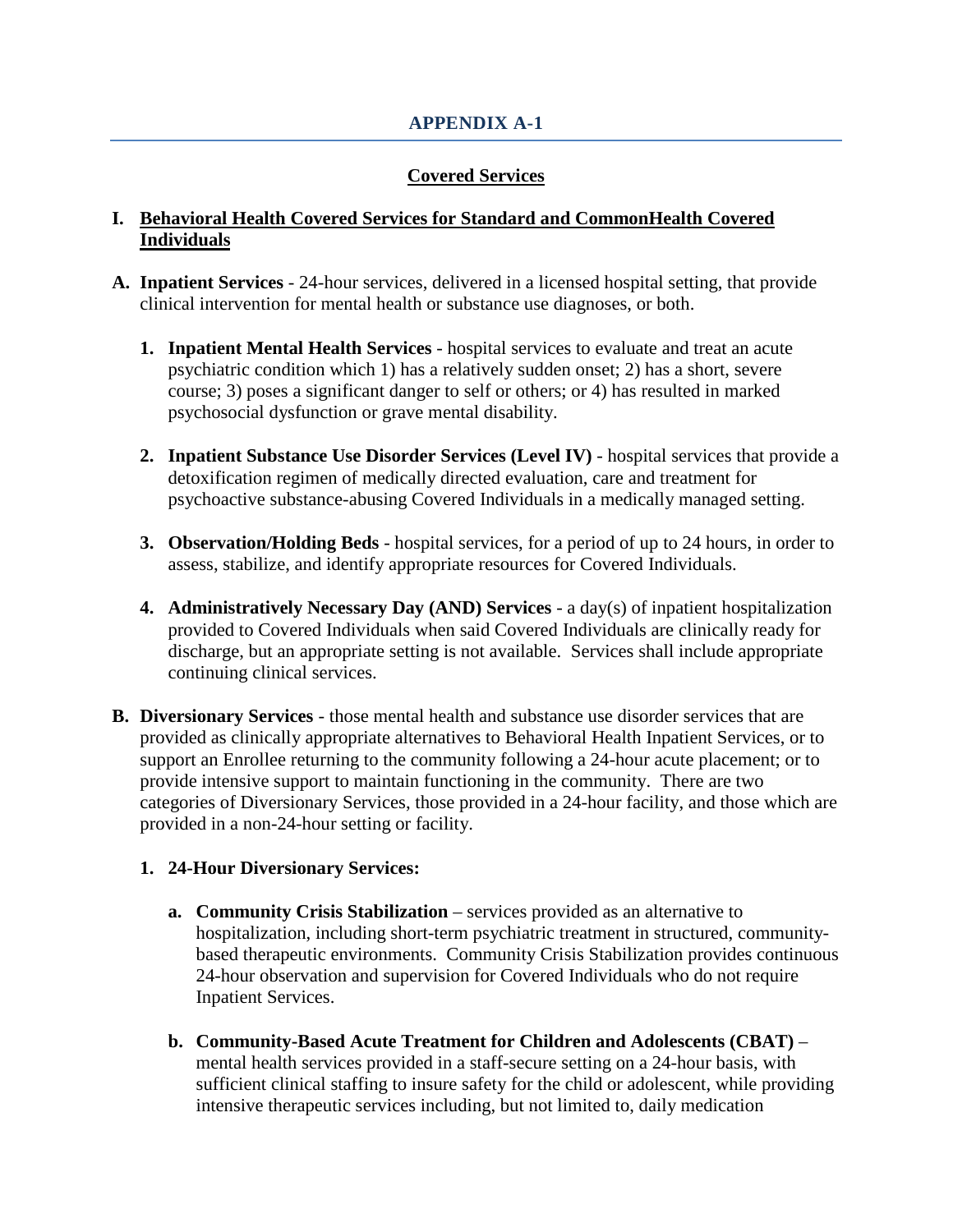# **Covered Services**

#### **I. Behavioral Health Covered Services for Standard and CommonHealth Covered Individuals**

- **A. Inpatient Services** 24-hour services, delivered in a licensed hospital setting, that provide clinical intervention for mental health or substance use diagnoses, or both.
	- **1. Inpatient Mental Health Services** hospital services to evaluate and treat an acute psychiatric condition which 1) has a relatively sudden onset; 2) has a short, severe course; 3) poses a significant danger to self or others; or 4) has resulted in marked psychosocial dysfunction or grave mental disability.
	- **2. Inpatient Substance Use Disorder Services (Level IV)** hospital services that provide a detoxification regimen of medically directed evaluation, care and treatment for psychoactive substance-abusing Covered Individuals in a medically managed setting.
	- **3. Observation/Holding Beds** hospital services, for a period of up to 24 hours, in order to assess, stabilize, and identify appropriate resources for Covered Individuals.
	- **4. Administratively Necessary Day (AND) Services** a day(s) of inpatient hospitalization provided to Covered Individuals when said Covered Individuals are clinically ready for discharge, but an appropriate setting is not available. Services shall include appropriate continuing clinical services.
- **B. Diversionary Services** those mental health and substance use disorder services that are provided as clinically appropriate alternatives to Behavioral Health Inpatient Services, or to support an Enrollee returning to the community following a 24-hour acute placement; or to provide intensive support to maintain functioning in the community. There are two categories of Diversionary Services, those provided in a 24-hour facility, and those which are provided in a non-24-hour setting or facility.

### **1. 24-Hour Diversionary Services:**

- **a. Community Crisis Stabilization** services provided as an alternative to hospitalization, including short-term psychiatric treatment in structured, communitybased therapeutic environments. Community Crisis Stabilization provides continuous 24-hour observation and supervision for Covered Individuals who do not require Inpatient Services.
- **b. Community-Based Acute Treatment for Children and Adolescents (CBAT)** mental health services provided in a staff-secure setting on a 24-hour basis, with sufficient clinical staffing to insure safety for the child or adolescent, while providing intensive therapeutic services including, but not limited to, daily medication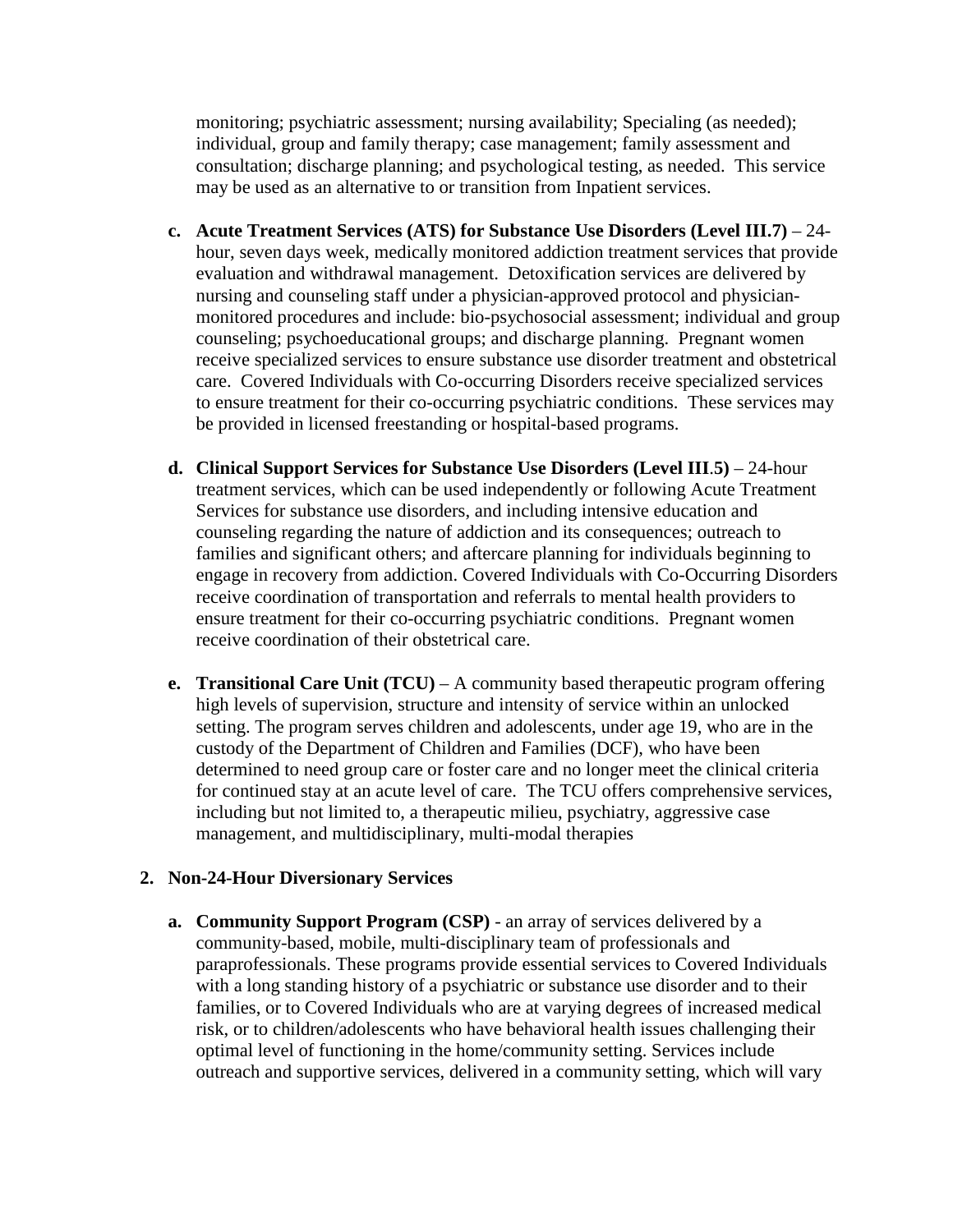monitoring; psychiatric assessment; nursing availability; Specialing (as needed); individual, group and family therapy; case management; family assessment and consultation; discharge planning; and psychological testing, as needed. This service may be used as an alternative to or transition from Inpatient services.

- **c. Acute Treatment Services (ATS) for Substance Use Disorders (Level III.7)** 24 hour, seven days week, medically monitored addiction treatment services that provide evaluation and withdrawal management. Detoxification services are delivered by nursing and counseling staff under a physician-approved protocol and physicianmonitored procedures and include: bio-psychosocial assessment; individual and group counseling; psychoeducational groups; and discharge planning. Pregnant women receive specialized services to ensure substance use disorder treatment and obstetrical care. Covered Individuals with Co-occurring Disorders receive specialized services to ensure treatment for their co-occurring psychiatric conditions. These services may be provided in licensed freestanding or hospital-based programs.
- **d. Clinical Support Services for Substance Use Disorders (Level III**.**5)** 24-hour treatment services, which can be used independently or following Acute Treatment Services for substance use disorders, and including intensive education and counseling regarding the nature of addiction and its consequences; outreach to families and significant others; and aftercare planning for individuals beginning to engage in recovery from addiction. Covered Individuals with Co-Occurring Disorders receive coordination of transportation and referrals to mental health providers to ensure treatment for their co-occurring psychiatric conditions. Pregnant women receive coordination of their obstetrical care.
- **e. Transitional Care Unit (TCU)**  A community based therapeutic program offering high levels of supervision, structure and intensity of service within an unlocked setting. The program serves children and adolescents, under age 19, who are in the custody of the Department of Children and Families (DCF), who have been determined to need group care or foster care and no longer meet the clinical criteria for continued stay at an acute level of care. The TCU offers comprehensive services, including but not limited to, a therapeutic milieu, psychiatry, aggressive case management, and multidisciplinary, multi-modal therapies

#### **2. Non-24-Hour Diversionary Services**

**a. Community Support Program (CSP)** - an array of services delivered by a community-based, mobile, multi-disciplinary team of professionals and paraprofessionals. These programs provide essential services to Covered Individuals with a long standing history of a psychiatric or substance use disorder and to their families, or to Covered Individuals who are at varying degrees of increased medical risk, or to children/adolescents who have behavioral health issues challenging their optimal level of functioning in the home/community setting. Services include outreach and supportive services, delivered in a community setting, which will vary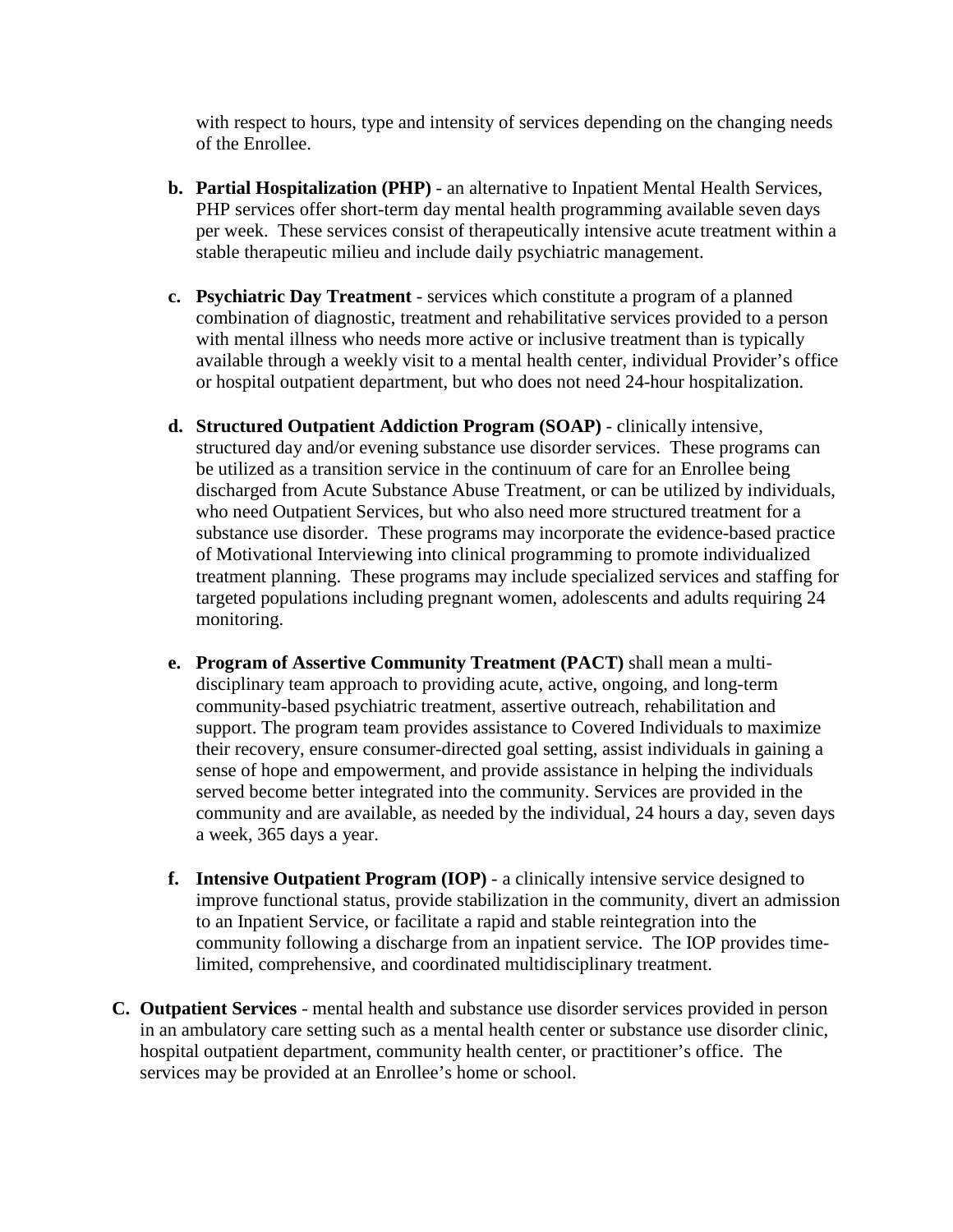with respect to hours, type and intensity of services depending on the changing needs of the Enrollee.

- **b. Partial Hospitalization (PHP)** an alternative to Inpatient Mental Health Services, PHP services offer short-term day mental health programming available seven days per week. These services consist of therapeutically intensive acute treatment within a stable therapeutic milieu and include daily psychiatric management.
- **c. Psychiatric Day Treatment** services which constitute a program of a planned combination of diagnostic, treatment and rehabilitative services provided to a person with mental illness who needs more active or inclusive treatment than is typically available through a weekly visit to a mental health center, individual Provider's office or hospital outpatient department, but who does not need 24-hour hospitalization.
- **d. Structured Outpatient Addiction Program (SOAP)** clinically intensive, structured day and/or evening substance use disorder services. These programs can be utilized as a transition service in the continuum of care for an Enrollee being discharged from Acute Substance Abuse Treatment, or can be utilized by individuals, who need Outpatient Services, but who also need more structured treatment for a substance use disorder. These programs may incorporate the evidence-based practice of Motivational Interviewing into clinical programming to promote individualized treatment planning. These programs may include specialized services and staffing for targeted populations including pregnant women, adolescents and adults requiring 24 monitoring.
- **e. Program of Assertive Community Treatment (PACT)** shall mean a multidisciplinary team approach to providing acute, active, ongoing, and long-term community-based psychiatric treatment, assertive outreach, rehabilitation and support. The program team provides assistance to Covered Individuals to maximize their recovery, ensure consumer-directed goal setting, assist individuals in gaining a sense of hope and empowerment, and provide assistance in helping the individuals served become better integrated into the community. Services are provided in the community and are available, as needed by the individual, 24 hours a day, seven days a week, 365 days a year.
- **f. Intensive Outpatient Program (IOP)** a clinically intensive service designed to improve functional status, provide stabilization in the community, divert an admission to an Inpatient Service, or facilitate a rapid and stable reintegration into the community following a discharge from an inpatient service. The IOP provides timelimited, comprehensive, and coordinated multidisciplinary treatment.
- **C. Outpatient Services** mental health and substance use disorder services provided in person in an ambulatory care setting such as a mental health center or substance use disorder clinic, hospital outpatient department, community health center, or practitioner's office. The services may be provided at an Enrollee's home or school.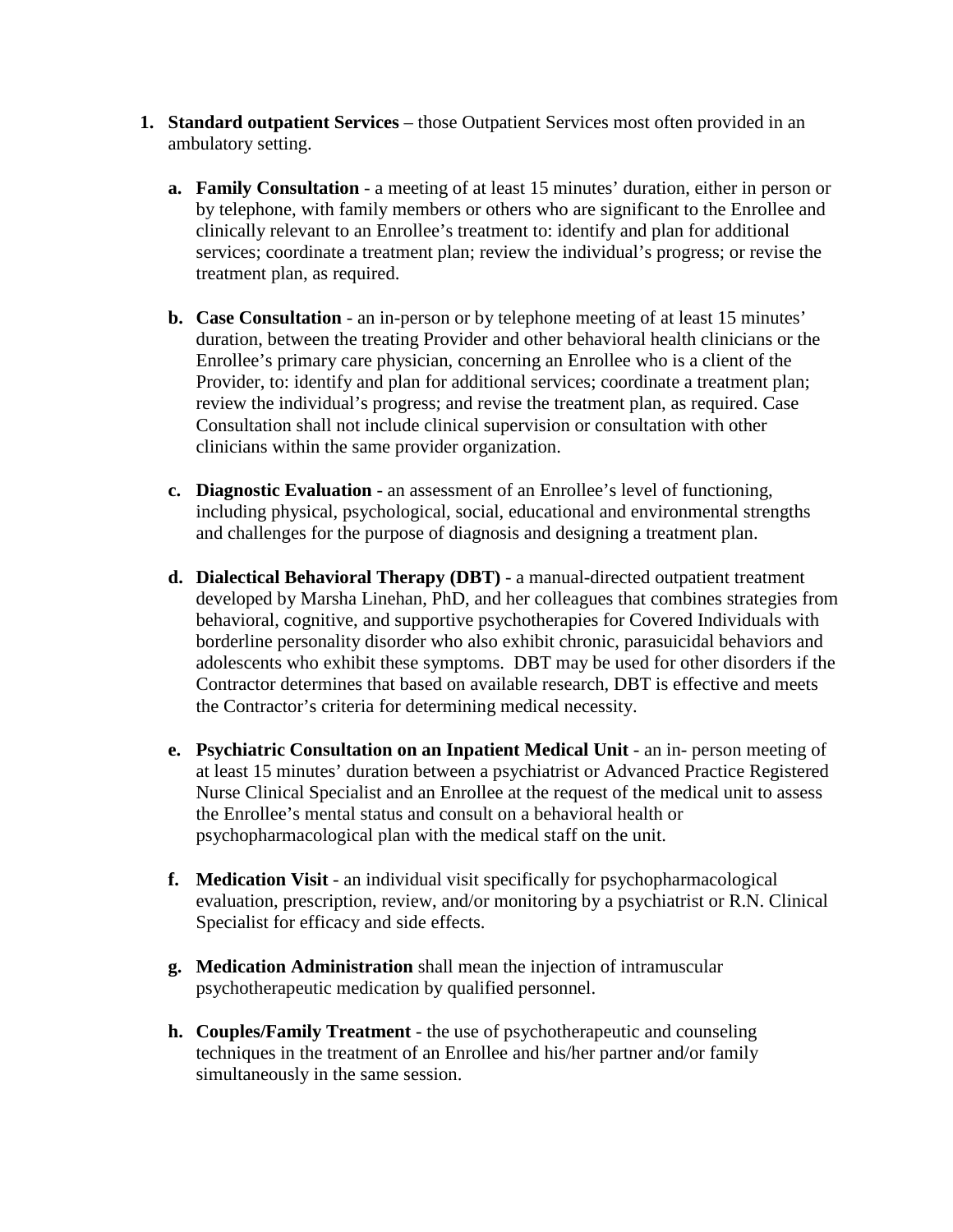- **1. Standard outpatient Services** those Outpatient Services most often provided in an ambulatory setting.
	- **a. Family Consultation** a meeting of at least 15 minutes' duration, either in person or by telephone, with family members or others who are significant to the Enrollee and clinically relevant to an Enrollee's treatment to: identify and plan for additional services; coordinate a treatment plan; review the individual's progress; or revise the treatment plan, as required.
	- **b. Case Consultation** an in-person or by telephone meeting of at least 15 minutes' duration, between the treating Provider and other behavioral health clinicians or the Enrollee's primary care physician, concerning an Enrollee who is a client of the Provider, to: identify and plan for additional services; coordinate a treatment plan; review the individual's progress; and revise the treatment plan, as required. Case Consultation shall not include clinical supervision or consultation with other clinicians within the same provider organization.
	- **c. Diagnostic Evaluation** an assessment of an Enrollee's level of functioning, including physical, psychological, social, educational and environmental strengths and challenges for the purpose of diagnosis and designing a treatment plan.
	- **d. Dialectical Behavioral Therapy (DBT)** a manual-directed outpatient treatment developed by Marsha Linehan, PhD, and her colleagues that combines strategies from behavioral, cognitive, and supportive psychotherapies for Covered Individuals with borderline personality disorder who also exhibit chronic, parasuicidal behaviors and adolescents who exhibit these symptoms. DBT may be used for other disorders if the Contractor determines that based on available research, DBT is effective and meets the Contractor's criteria for determining medical necessity.
	- **e. Psychiatric Consultation on an Inpatient Medical Unit** an in- person meeting of at least 15 minutes' duration between a psychiatrist or Advanced Practice Registered Nurse Clinical Specialist and an Enrollee at the request of the medical unit to assess the Enrollee's mental status and consult on a behavioral health or psychopharmacological plan with the medical staff on the unit.
	- **f. Medication Visit** an individual visit specifically for psychopharmacological evaluation, prescription, review, and/or monitoring by a psychiatrist or R.N. Clinical Specialist for efficacy and side effects.
	- **g. Medication Administration** shall mean the injection of intramuscular psychotherapeutic medication by qualified personnel.
	- **h. Couples/Family Treatment** the use of psychotherapeutic and counseling techniques in the treatment of an Enrollee and his/her partner and/or family simultaneously in the same session.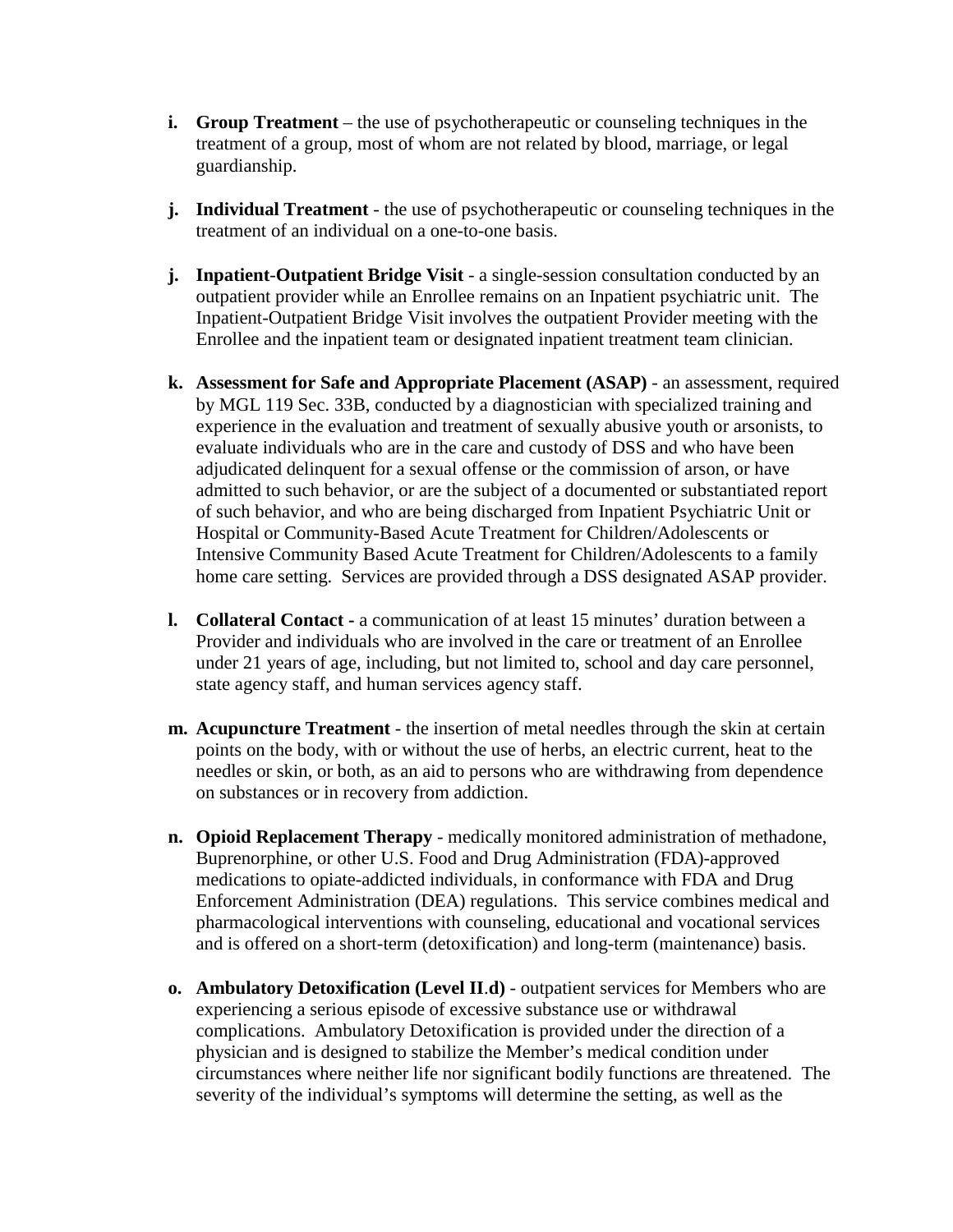- **i. Group Treatment** the use of psychotherapeutic or counseling techniques in the treatment of a group, most of whom are not related by blood, marriage, or legal guardianship.
- **j. Individual Treatment** the use of psychotherapeutic or counseling techniques in the treatment of an individual on a one-to-one basis.
- **j. Inpatient**-**Outpatient Bridge Visit** a single-session consultation conducted by an outpatient provider while an Enrollee remains on an Inpatient psychiatric unit. The Inpatient-Outpatient Bridge Visit involves the outpatient Provider meeting with the Enrollee and the inpatient team or designated inpatient treatment team clinician.
- **k. Assessment for Safe and Appropriate Placement (ASAP)** an assessment, required by MGL 119 Sec. 33B, conducted by a diagnostician with specialized training and experience in the evaluation and treatment of sexually abusive youth or arsonists, to evaluate individuals who are in the care and custody of DSS and who have been adjudicated delinquent for a sexual offense or the commission of arson, or have admitted to such behavior, or are the subject of a documented or substantiated report of such behavior, and who are being discharged from Inpatient Psychiatric Unit or Hospital or Community-Based Acute Treatment for Children/Adolescents or Intensive Community Based Acute Treatment for Children/Adolescents to a family home care setting. Services are provided through a DSS designated ASAP provider.
- **l. Collateral Contact -** a communication of at least 15 minutes' duration between a Provider and individuals who are involved in the care or treatment of an Enrollee under 21 years of age, including, but not limited to, school and day care personnel, state agency staff, and human services agency staff.
- **m. Acupuncture Treatment** the insertion of metal needles through the skin at certain points on the body, with or without the use of herbs, an electric current, heat to the needles or skin, or both, as an aid to persons who are withdrawing from dependence on substances or in recovery from addiction.
- **n. Opioid Replacement Therapy** medically monitored administration of methadone, Buprenorphine, or other U.S. Food and Drug Administration (FDA)-approved medications to opiate-addicted individuals, in conformance with FDA and Drug Enforcement Administration (DEA) regulations. This service combines medical and pharmacological interventions with counseling, educational and vocational services and is offered on a short-term (detoxification) and long-term (maintenance) basis.
- **o. Ambulatory Detoxification (Level II**.**d)** outpatient services for Members who are experiencing a serious episode of excessive substance use or withdrawal complications. Ambulatory Detoxification is provided under the direction of a physician and is designed to stabilize the Member's medical condition under circumstances where neither life nor significant bodily functions are threatened. The severity of the individual's symptoms will determine the setting, as well as the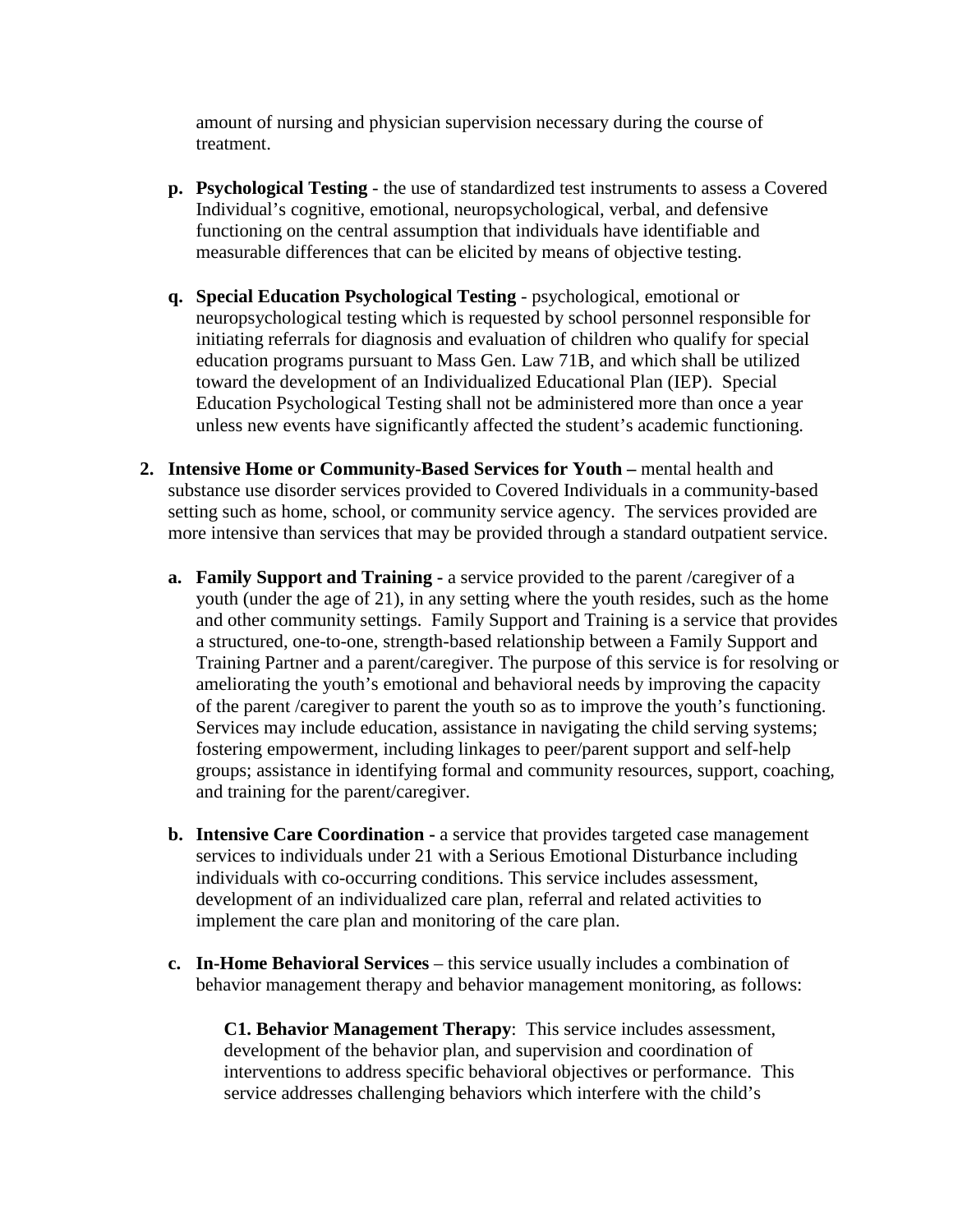amount of nursing and physician supervision necessary during the course of treatment.

- **p. Psychological Testing** the use of standardized test instruments to assess a Covered Individual's cognitive, emotional, neuropsychological, verbal, and defensive functioning on the central assumption that individuals have identifiable and measurable differences that can be elicited by means of objective testing.
- **q. Special Education Psychological Testing** psychological, emotional or neuropsychological testing which is requested by school personnel responsible for initiating referrals for diagnosis and evaluation of children who qualify for special education programs pursuant to Mass Gen. Law 71B, and which shall be utilized toward the development of an Individualized Educational Plan (IEP). Special Education Psychological Testing shall not be administered more than once a year unless new events have significantly affected the student's academic functioning.
- **2. Intensive Home or Community-Based Services for Youth –** mental health and substance use disorder services provided to Covered Individuals in a community-based setting such as home, school, or community service agency. The services provided are more intensive than services that may be provided through a standard outpatient service.
	- **a. Family Support and Training -** a service provided to the parent /caregiver of a youth (under the age of 21), in any setting where the youth resides, such as the home and other community settings. Family Support and Training is a service that provides a structured, one-to-one, strength-based relationship between a Family Support and Training Partner and a parent/caregiver. The purpose of this service is for resolving or ameliorating the youth's emotional and behavioral needs by improving the capacity of the parent /caregiver to parent the youth so as to improve the youth's functioning. Services may include education, assistance in navigating the child serving systems; fostering empowerment, including linkages to peer/parent support and self-help groups; assistance in identifying formal and community resources, support, coaching, and training for the parent/caregiver.
	- **b. Intensive Care Coordination -** a service that provides targeted case management services to individuals under 21 with a Serious Emotional Disturbance including individuals with co-occurring conditions. This service includes assessment, development of an individualized care plan, referral and related activities to implement the care plan and monitoring of the care plan.
	- **c. In-Home Behavioral Services** this service usually includes a combination of behavior management therapy and behavior management monitoring, as follows:

**C1. Behavior Management Therapy**: This service includes assessment, development of the behavior plan, and supervision and coordination of interventions to address specific behavioral objectives or performance. This service addresses challenging behaviors which interfere with the child's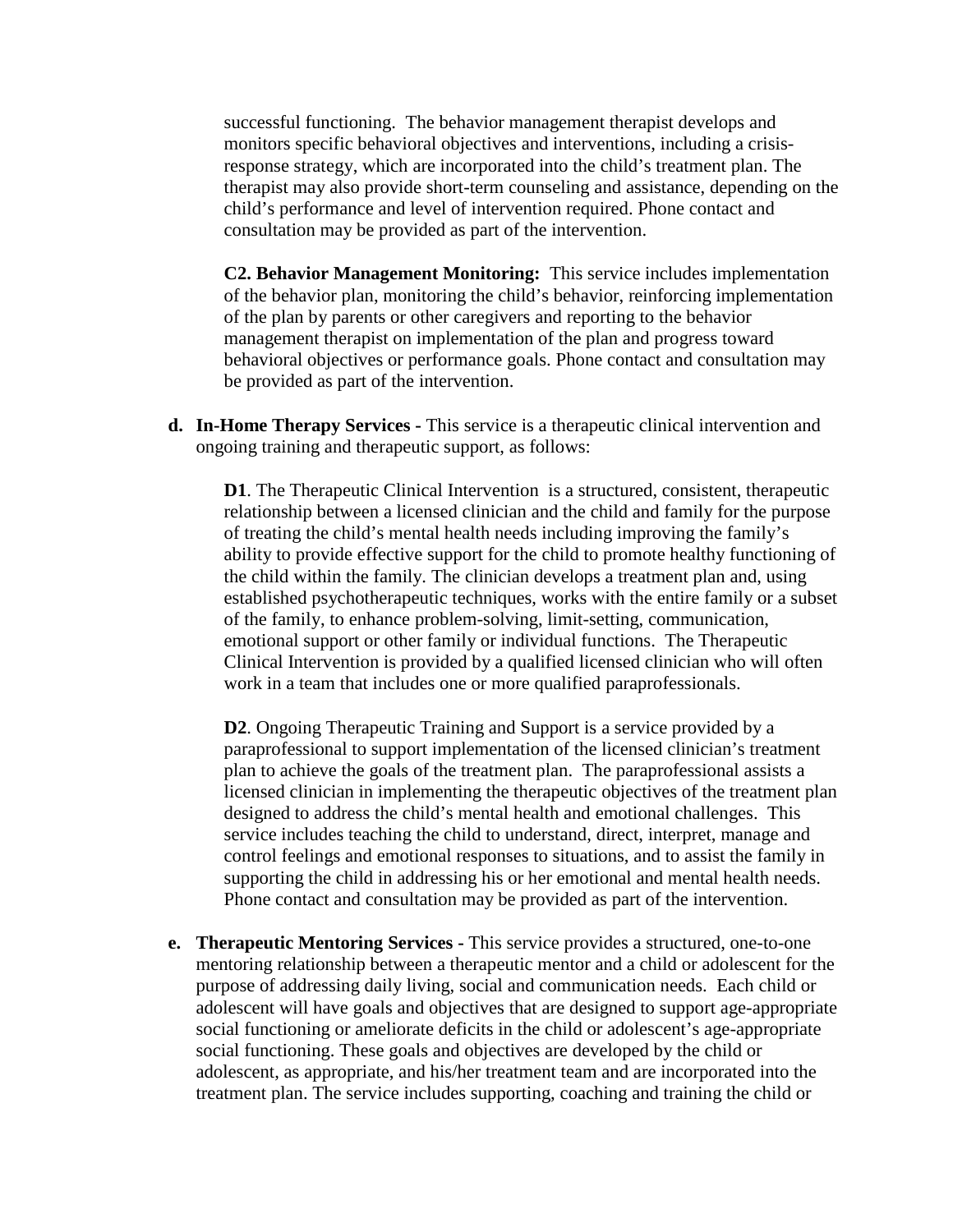successful functioning. The behavior management therapist develops and monitors specific behavioral objectives and interventions, including a crisisresponse strategy, which are incorporated into the child's treatment plan. The therapist may also provide short-term counseling and assistance, depending on the child's performance and level of intervention required. Phone contact and consultation may be provided as part of the intervention.

**C2. Behavior Management Monitoring:** This service includes implementation of the behavior plan, monitoring the child's behavior, reinforcing implementation of the plan by parents or other caregivers and reporting to the behavior management therapist on implementation of the plan and progress toward behavioral objectives or performance goals. Phone contact and consultation may be provided as part of the intervention.

**d. In-Home Therapy Services -** This service is a therapeutic clinical intervention and ongoing training and therapeutic support, as follows:

**D1**. The Therapeutic Clinical Intervention is a structured, consistent, therapeutic relationship between a licensed clinician and the child and family for the purpose of treating the child's mental health needs including improving the family's ability to provide effective support for the child to promote healthy functioning of the child within the family. The clinician develops a treatment plan and, using established psychotherapeutic techniques, works with the entire family or a subset of the family, to enhance problem-solving, limit-setting, communication, emotional support or other family or individual functions. The Therapeutic Clinical Intervention is provided by a qualified licensed clinician who will often work in a team that includes one or more qualified paraprofessionals.

**D2**. Ongoing Therapeutic Training and Support is a service provided by a paraprofessional to support implementation of the licensed clinician's treatment plan to achieve the goals of the treatment plan. The paraprofessional assists a licensed clinician in implementing the therapeutic objectives of the treatment plan designed to address the child's mental health and emotional challenges. This service includes teaching the child to understand, direct, interpret, manage and control feelings and emotional responses to situations, and to assist the family in supporting the child in addressing his or her emotional and mental health needs. Phone contact and consultation may be provided as part of the intervention.

**e. Therapeutic Mentoring Services -** This service provides a structured, one-to-one mentoring relationship between a therapeutic mentor and a child or adolescent for the purpose of addressing daily living, social and communication needs. Each child or adolescent will have goals and objectives that are designed to support age-appropriate social functioning or ameliorate deficits in the child or adolescent's age-appropriate social functioning. These goals and objectives are developed by the child or adolescent, as appropriate, and his/her treatment team and are incorporated into the treatment plan. The service includes supporting, coaching and training the child or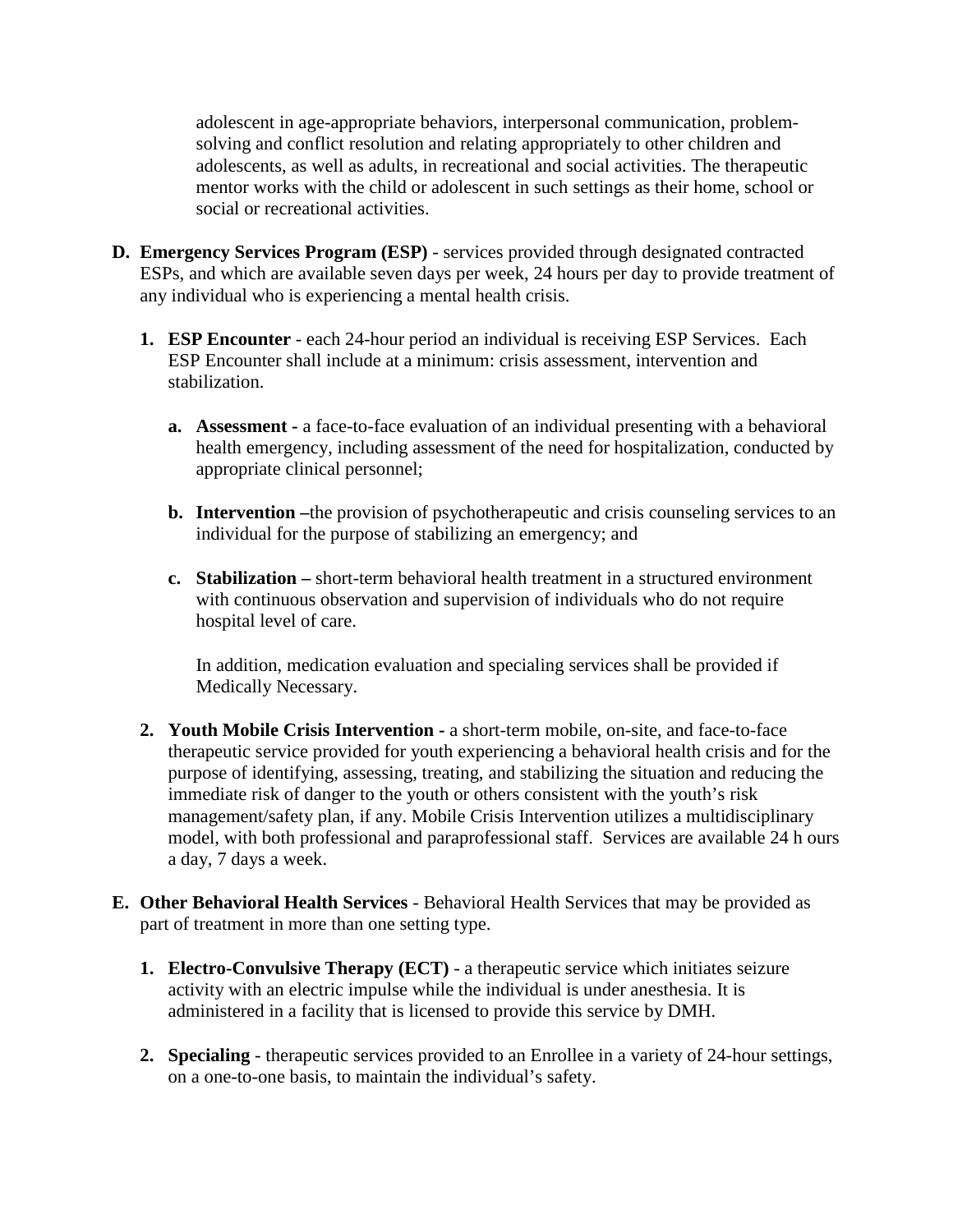adolescent in age-appropriate behaviors, interpersonal communication, problemsolving and conflict resolution and relating appropriately to other children and adolescents, as well as adults, in recreational and social activities. The therapeutic mentor works with the child or adolescent in such settings as their home, school or social or recreational activities.

- **D. Emergency Services Program (ESP)** services provided through designated contracted ESPs, and which are available seven days per week, 24 hours per day to provide treatment of any individual who is experiencing a mental health crisis.
	- **1. ESP Encounter** each 24-hour period an individual is receiving ESP Services. Each ESP Encounter shall include at a minimum: crisis assessment, intervention and stabilization.
		- **a. Assessment -** a face-to-face evaluation of an individual presenting with a behavioral health emergency, including assessment of the need for hospitalization, conducted by appropriate clinical personnel;
		- **b. Intervention –**the provision of psychotherapeutic and crisis counseling services to an individual for the purpose of stabilizing an emergency; and
		- **c. Stabilization –** short-term behavioral health treatment in a structured environment with continuous observation and supervision of individuals who do not require hospital level of care.

In addition, medication evaluation and specialing services shall be provided if Medically Necessary.

- **2. Youth Mobile Crisis Intervention -** a short-term mobile, on-site, and face-to-face therapeutic service provided for youth experiencing a behavioral health crisis and for the purpose of identifying, assessing, treating, and stabilizing the situation and reducing the immediate risk of danger to the youth or others consistent with the youth's risk management/safety plan, if any. Mobile Crisis Intervention utilizes a multidisciplinary model, with both professional and paraprofessional staff. Services are available 24 h ours a day, 7 days a week.
- **E. Other Behavioral Health Services** Behavioral Health Services that may be provided as part of treatment in more than one setting type.
	- **1. Electro-Convulsive Therapy (ECT)** a therapeutic service which initiates seizure activity with an electric impulse while the individual is under anesthesia. It is administered in a facility that is licensed to provide this service by DMH.
	- **2. Specialing** therapeutic services provided to an Enrollee in a variety of 24-hour settings, on a one-to-one basis, to maintain the individual's safety.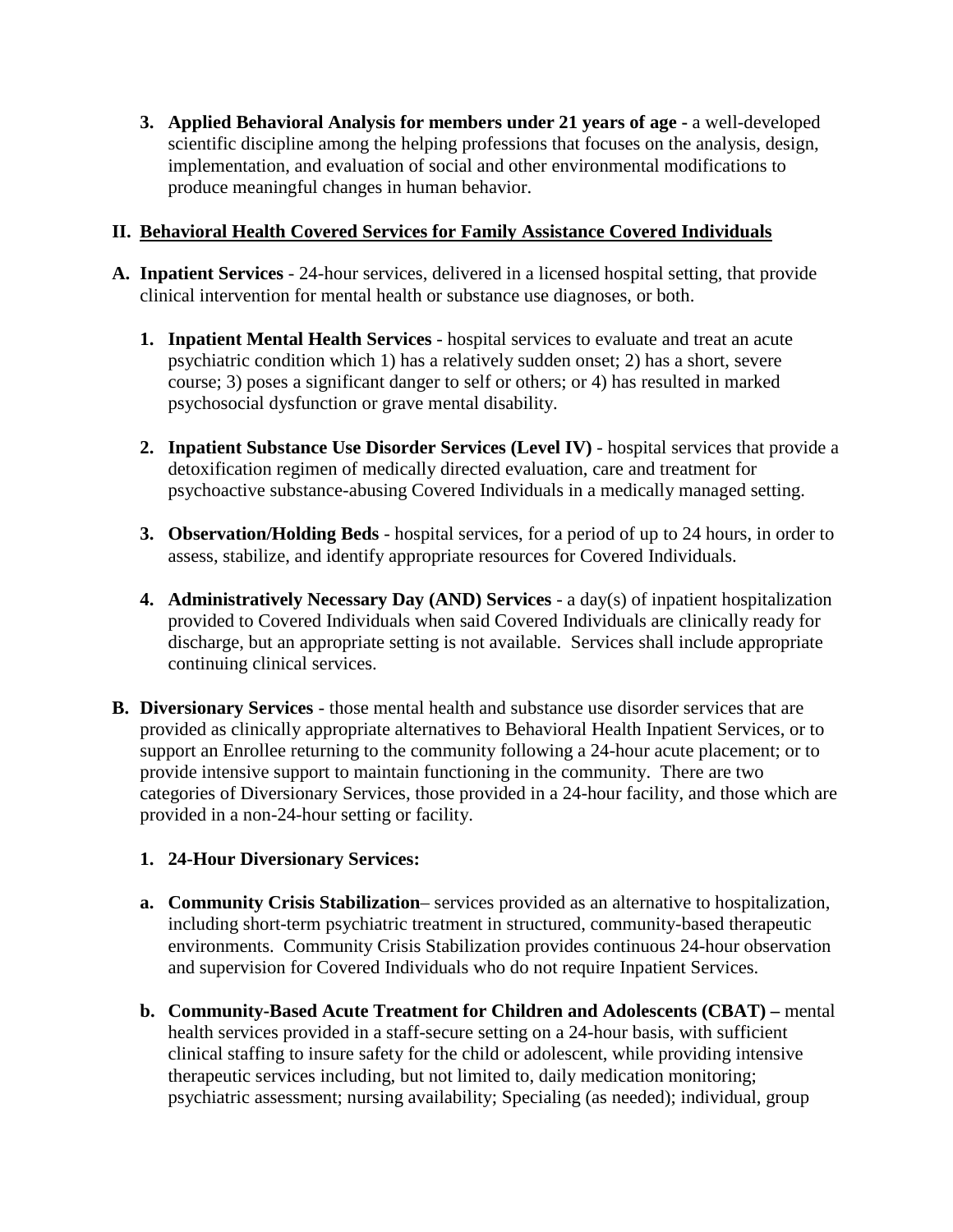**3. Applied Behavioral Analysis for members under 21 years of age -** a well-developed scientific discipline among the helping professions that focuses on the analysis, design, implementation, and evaluation of social and other environmental modifications to produce meaningful changes in human behavior.

## **II. Behavioral Health Covered Services for Family Assistance Covered Individuals**

- **A. Inpatient Services** 24-hour services, delivered in a licensed hospital setting, that provide clinical intervention for mental health or substance use diagnoses, or both.
	- **1. Inpatient Mental Health Services** hospital services to evaluate and treat an acute psychiatric condition which 1) has a relatively sudden onset; 2) has a short, severe course; 3) poses a significant danger to self or others; or 4) has resulted in marked psychosocial dysfunction or grave mental disability.
	- **2. Inpatient Substance Use Disorder Services (Level IV)** hospital services that provide a detoxification regimen of medically directed evaluation, care and treatment for psychoactive substance-abusing Covered Individuals in a medically managed setting.
	- **3. Observation/Holding Beds** hospital services, for a period of up to 24 hours, in order to assess, stabilize, and identify appropriate resources for Covered Individuals.
	- **4. Administratively Necessary Day (AND) Services** a day(s) of inpatient hospitalization provided to Covered Individuals when said Covered Individuals are clinically ready for discharge, but an appropriate setting is not available. Services shall include appropriate continuing clinical services.
- **B. Diversionary Services** those mental health and substance use disorder services that are provided as clinically appropriate alternatives to Behavioral Health Inpatient Services, or to support an Enrollee returning to the community following a 24-hour acute placement; or to provide intensive support to maintain functioning in the community. There are two categories of Diversionary Services, those provided in a 24-hour facility, and those which are provided in a non-24-hour setting or facility.

### **1. 24-Hour Diversionary Services:**

- **a. Community Crisis Stabilization** services provided as an alternative to hospitalization, including short-term psychiatric treatment in structured, community-based therapeutic environments. Community Crisis Stabilization provides continuous 24-hour observation and supervision for Covered Individuals who do not require Inpatient Services.
- **b. Community-Based Acute Treatment for Children and Adolescents (CBAT) –** mental health services provided in a staff-secure setting on a 24-hour basis, with sufficient clinical staffing to insure safety for the child or adolescent, while providing intensive therapeutic services including, but not limited to, daily medication monitoring; psychiatric assessment; nursing availability; Specialing (as needed); individual, group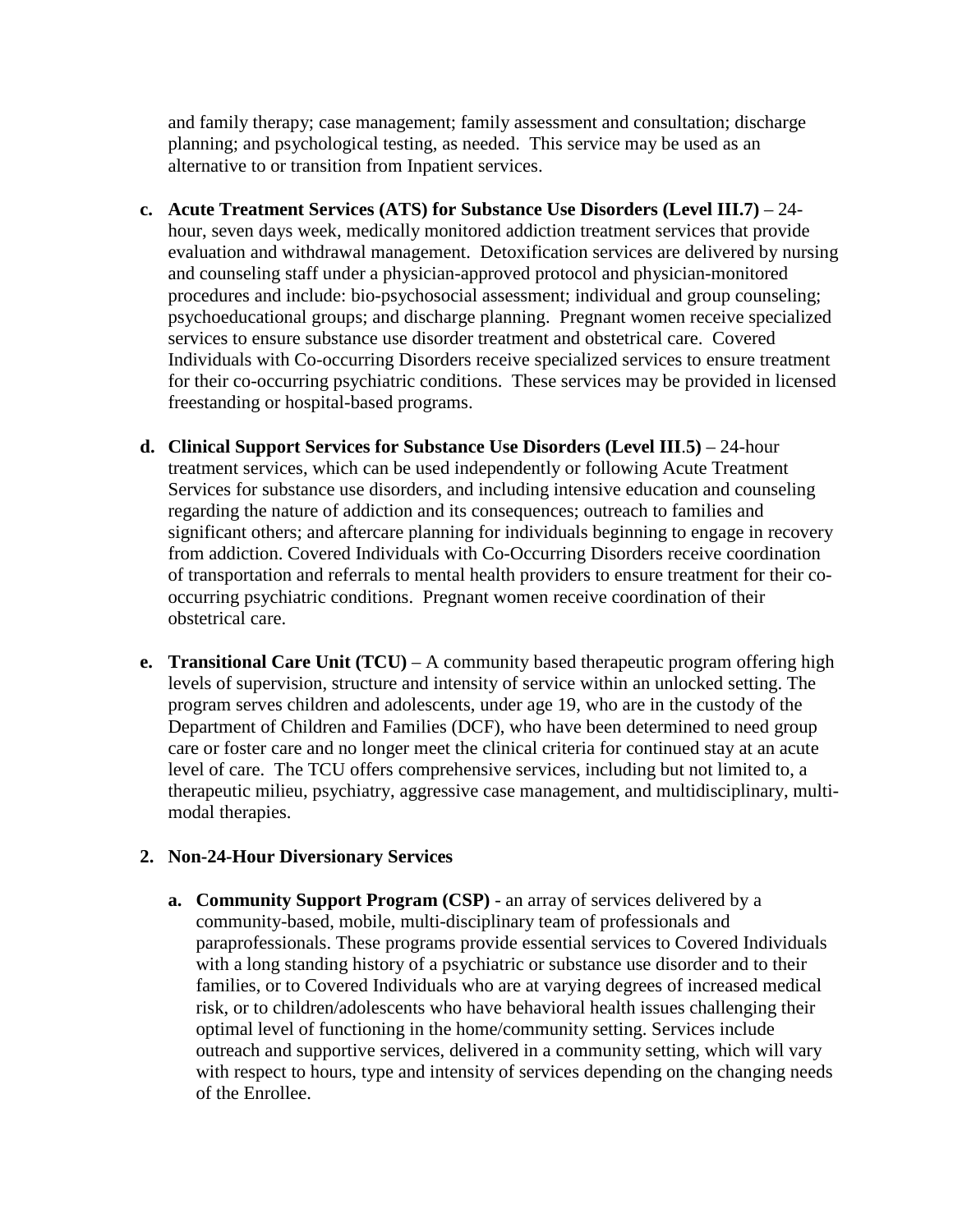and family therapy; case management; family assessment and consultation; discharge planning; and psychological testing, as needed. This service may be used as an alternative to or transition from Inpatient services.

- **c. Acute Treatment Services (ATS) for Substance Use Disorders (Level III.7)** 24 hour, seven days week, medically monitored addiction treatment services that provide evaluation and withdrawal management. Detoxification services are delivered by nursing and counseling staff under a physician-approved protocol and physician-monitored procedures and include: bio-psychosocial assessment; individual and group counseling; psychoeducational groups; and discharge planning. Pregnant women receive specialized services to ensure substance use disorder treatment and obstetrical care. Covered Individuals with Co-occurring Disorders receive specialized services to ensure treatment for their co-occurring psychiatric conditions. These services may be provided in licensed freestanding or hospital-based programs.
- **d. Clinical Support Services for Substance Use Disorders (Level III**.**5)** 24-hour treatment services, which can be used independently or following Acute Treatment Services for substance use disorders, and including intensive education and counseling regarding the nature of addiction and its consequences; outreach to families and significant others; and aftercare planning for individuals beginning to engage in recovery from addiction. Covered Individuals with Co-Occurring Disorders receive coordination of transportation and referrals to mental health providers to ensure treatment for their cooccurring psychiatric conditions. Pregnant women receive coordination of their obstetrical care.
- **e. Transitional Care Unit (TCU)**  A community based therapeutic program offering high levels of supervision, structure and intensity of service within an unlocked setting. The program serves children and adolescents, under age 19, who are in the custody of the Department of Children and Families (DCF), who have been determined to need group care or foster care and no longer meet the clinical criteria for continued stay at an acute level of care. The TCU offers comprehensive services, including but not limited to, a therapeutic milieu, psychiatry, aggressive case management, and multidisciplinary, multimodal therapies.

### **2. Non-24-Hour Diversionary Services**

**a. Community Support Program (CSP)** - an array of services delivered by a community-based, mobile, multi-disciplinary team of professionals and paraprofessionals. These programs provide essential services to Covered Individuals with a long standing history of a psychiatric or substance use disorder and to their families, or to Covered Individuals who are at varying degrees of increased medical risk, or to children/adolescents who have behavioral health issues challenging their optimal level of functioning in the home/community setting. Services include outreach and supportive services, delivered in a community setting, which will vary with respect to hours, type and intensity of services depending on the changing needs of the Enrollee.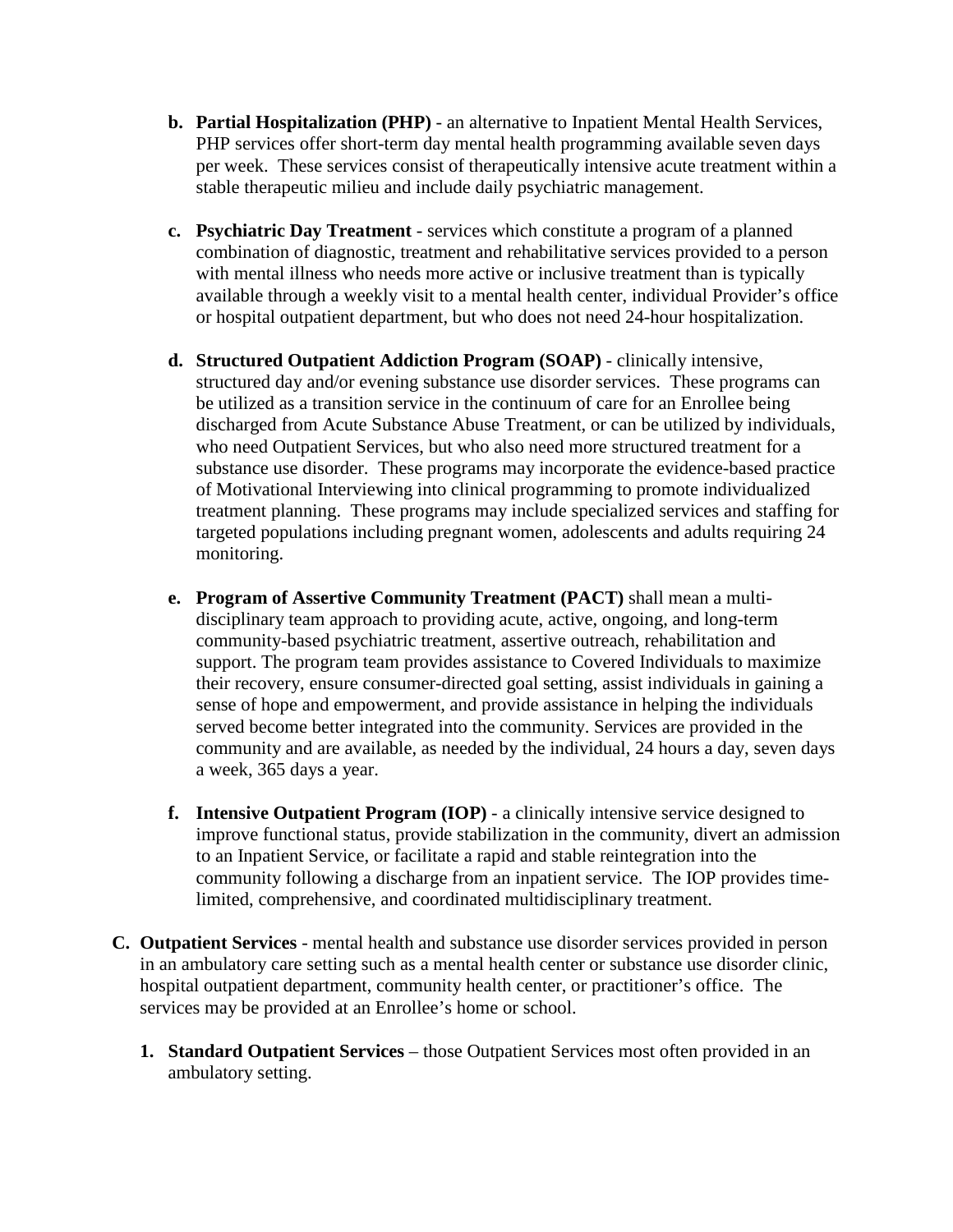- **b. Partial Hospitalization (PHP)** an alternative to Inpatient Mental Health Services, PHP services offer short-term day mental health programming available seven days per week. These services consist of therapeutically intensive acute treatment within a stable therapeutic milieu and include daily psychiatric management.
- **c. Psychiatric Day Treatment** services which constitute a program of a planned combination of diagnostic, treatment and rehabilitative services provided to a person with mental illness who needs more active or inclusive treatment than is typically available through a weekly visit to a mental health center, individual Provider's office or hospital outpatient department, but who does not need 24-hour hospitalization.
- **d. Structured Outpatient Addiction Program (SOAP)** clinically intensive, structured day and/or evening substance use disorder services. These programs can be utilized as a transition service in the continuum of care for an Enrollee being discharged from Acute Substance Abuse Treatment, or can be utilized by individuals, who need Outpatient Services, but who also need more structured treatment for a substance use disorder. These programs may incorporate the evidence-based practice of Motivational Interviewing into clinical programming to promote individualized treatment planning. These programs may include specialized services and staffing for targeted populations including pregnant women, adolescents and adults requiring 24 monitoring.
- **e. Program of Assertive Community Treatment (PACT)** shall mean a multidisciplinary team approach to providing acute, active, ongoing, and long-term community-based psychiatric treatment, assertive outreach, rehabilitation and support. The program team provides assistance to Covered Individuals to maximize their recovery, ensure consumer-directed goal setting, assist individuals in gaining a sense of hope and empowerment, and provide assistance in helping the individuals served become better integrated into the community. Services are provided in the community and are available, as needed by the individual, 24 hours a day, seven days a week, 365 days a year.
- **f. Intensive Outpatient Program (IOP)** a clinically intensive service designed to improve functional status, provide stabilization in the community, divert an admission to an Inpatient Service, or facilitate a rapid and stable reintegration into the community following a discharge from an inpatient service. The IOP provides timelimited, comprehensive, and coordinated multidisciplinary treatment.
- **C. Outpatient Services** mental health and substance use disorder services provided in person in an ambulatory care setting such as a mental health center or substance use disorder clinic, hospital outpatient department, community health center, or practitioner's office. The services may be provided at an Enrollee's home or school.
	- **1. Standard Outpatient Services** those Outpatient Services most often provided in an ambulatory setting.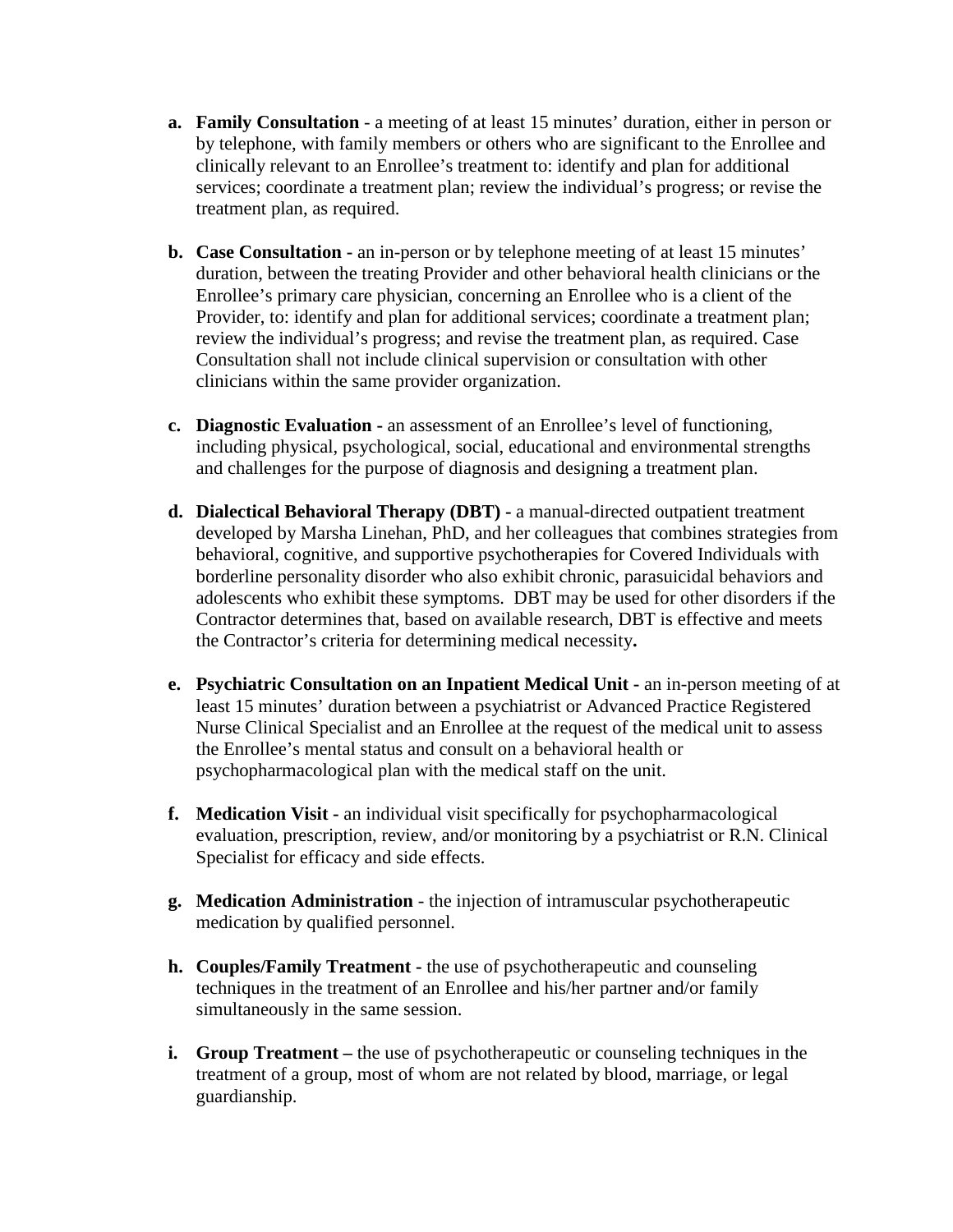- **a. Family Consultation** a meeting of at least 15 minutes' duration, either in person or by telephone, with family members or others who are significant to the Enrollee and clinically relevant to an Enrollee's treatment to: identify and plan for additional services; coordinate a treatment plan; review the individual's progress; or revise the treatment plan, as required.
- **b. Case Consultation -** an in-person or by telephone meeting of at least 15 minutes' duration, between the treating Provider and other behavioral health clinicians or the Enrollee's primary care physician, concerning an Enrollee who is a client of the Provider, to: identify and plan for additional services; coordinate a treatment plan; review the individual's progress; and revise the treatment plan, as required. Case Consultation shall not include clinical supervision or consultation with other clinicians within the same provider organization.
- **c. Diagnostic Evaluation -** an assessment of an Enrollee's level of functioning, including physical, psychological, social, educational and environmental strengths and challenges for the purpose of diagnosis and designing a treatment plan.
- **d. Dialectical Behavioral Therapy (DBT) -** a manual-directed outpatient treatment developed by Marsha Linehan, PhD, and her colleagues that combines strategies from behavioral, cognitive, and supportive psychotherapies for Covered Individuals with borderline personality disorder who also exhibit chronic, parasuicidal behaviors and adolescents who exhibit these symptoms. DBT may be used for other disorders if the Contractor determines that, based on available research, DBT is effective and meets the Contractor's criteria for determining medical necessity**.**
- **e. Psychiatric Consultation on an Inpatient Medical Unit -** an in-person meeting of at least 15 minutes' duration between a psychiatrist or Advanced Practice Registered Nurse Clinical Specialist and an Enrollee at the request of the medical unit to assess the Enrollee's mental status and consult on a behavioral health or psychopharmacological plan with the medical staff on the unit.
- **f. Medication Visit -** an individual visit specifically for psychopharmacological evaluation, prescription, review, and/or monitoring by a psychiatrist or R.N. Clinical Specialist for efficacy and side effects.
- **g. Medication Administration**  the injection of intramuscular psychotherapeutic medication by qualified personnel.
- **h. Couples/Family Treatment -** the use of psychotherapeutic and counseling techniques in the treatment of an Enrollee and his/her partner and/or family simultaneously in the same session.
- **i. Group Treatment –** the use of psychotherapeutic or counseling techniques in the treatment of a group, most of whom are not related by blood, marriage, or legal guardianship.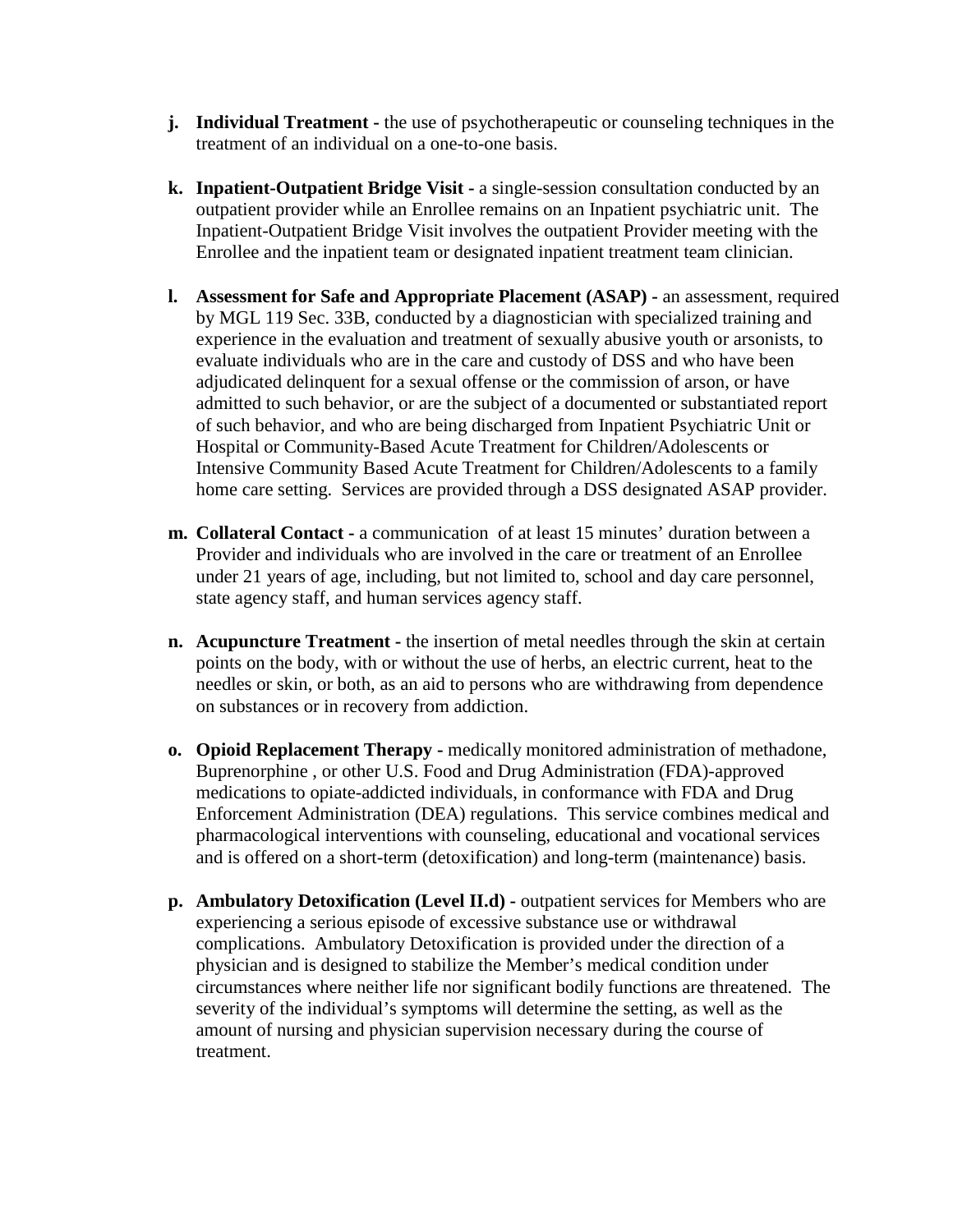- **j. Individual Treatment -** the use of psychotherapeutic or counseling techniques in the treatment of an individual on a one-to-one basis.
- **k. Inpatient-Outpatient Bridge Visit -** a single-session consultation conducted by an outpatient provider while an Enrollee remains on an Inpatient psychiatric unit. The Inpatient-Outpatient Bridge Visit involves the outpatient Provider meeting with the Enrollee and the inpatient team or designated inpatient treatment team clinician.
- **l. Assessment for Safe and Appropriate Placement (ASAP) -** an assessment, required by MGL 119 Sec. 33B, conducted by a diagnostician with specialized training and experience in the evaluation and treatment of sexually abusive youth or arsonists, to evaluate individuals who are in the care and custody of DSS and who have been adjudicated delinquent for a sexual offense or the commission of arson, or have admitted to such behavior, or are the subject of a documented or substantiated report of such behavior, and who are being discharged from Inpatient Psychiatric Unit or Hospital or Community-Based Acute Treatment for Children/Adolescents or Intensive Community Based Acute Treatment for Children/Adolescents to a family home care setting. Services are provided through a DSS designated ASAP provider.
- **m. Collateral Contact -** a communication of at least 15 minutes' duration between a Provider and individuals who are involved in the care or treatment of an Enrollee under 21 years of age, including, but not limited to, school and day care personnel, state agency staff, and human services agency staff.
- **n. Acupuncture Treatment -** the insertion of metal needles through the skin at certain points on the body, with or without the use of herbs, an electric current, heat to the needles or skin, or both, as an aid to persons who are withdrawing from dependence on substances or in recovery from addiction.
- **o. Opioid Replacement Therapy -** medically monitored administration of methadone, Buprenorphine , or other U.S. Food and Drug Administration (FDA)-approved medications to opiate-addicted individuals, in conformance with FDA and Drug Enforcement Administration (DEA) regulations. This service combines medical and pharmacological interventions with counseling, educational and vocational services and is offered on a short-term (detoxification) and long-term (maintenance) basis.
- **p. Ambulatory Detoxification (Level II.d) -** outpatient services for Members who are experiencing a serious episode of excessive substance use or withdrawal complications. Ambulatory Detoxification is provided under the direction of a physician and is designed to stabilize the Member's medical condition under circumstances where neither life nor significant bodily functions are threatened. The severity of the individual's symptoms will determine the setting, as well as the amount of nursing and physician supervision necessary during the course of treatment.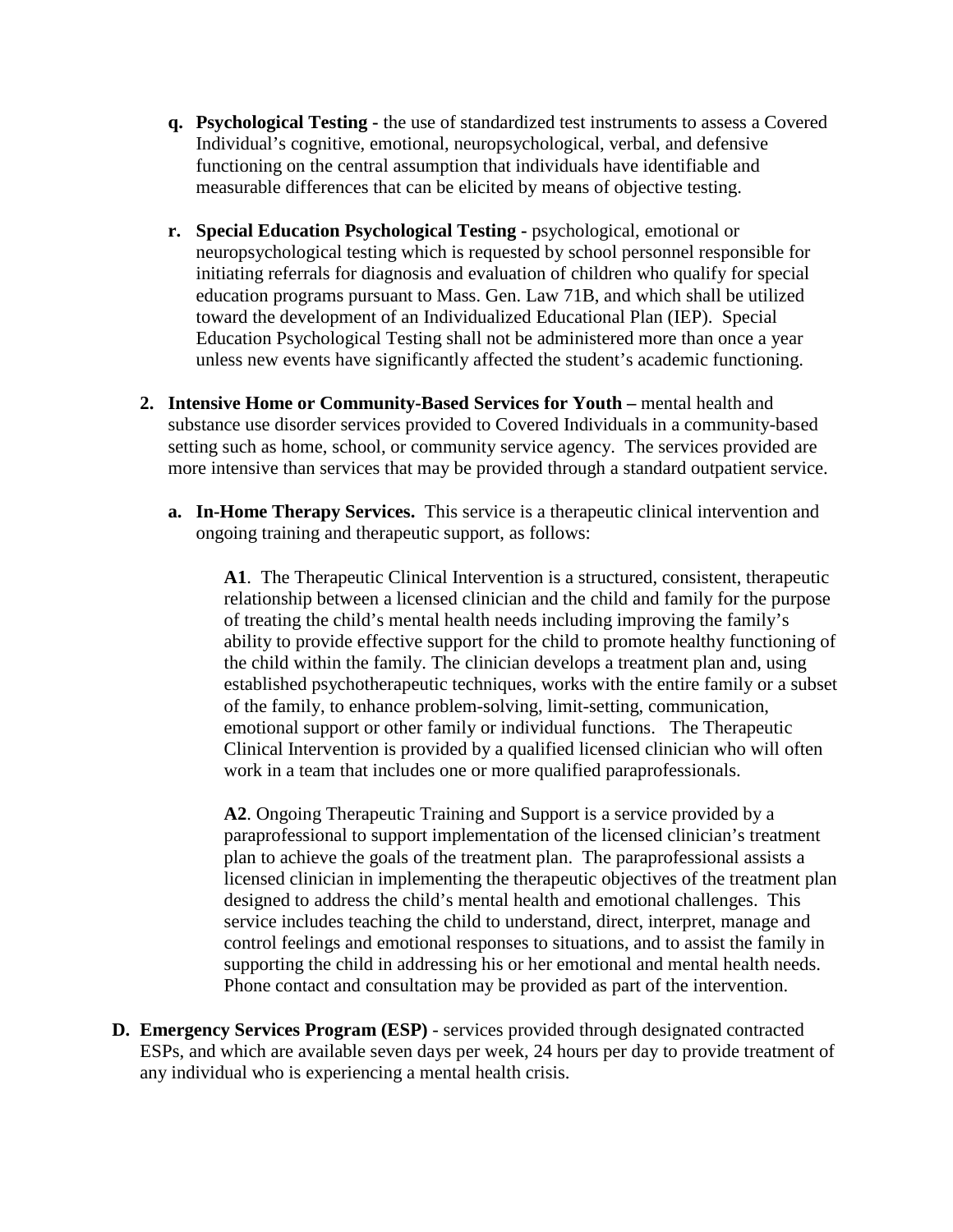- **q. Psychological Testing -** the use of standardized test instruments to assess a Covered Individual's cognitive, emotional, neuropsychological, verbal, and defensive functioning on the central assumption that individuals have identifiable and measurable differences that can be elicited by means of objective testing.
- **r. Special Education Psychological Testing -** psychological, emotional or neuropsychological testing which is requested by school personnel responsible for initiating referrals for diagnosis and evaluation of children who qualify for special education programs pursuant to Mass. Gen. Law 71B, and which shall be utilized toward the development of an Individualized Educational Plan (IEP). Special Education Psychological Testing shall not be administered more than once a year unless new events have significantly affected the student's academic functioning.
- **2. Intensive Home or Community-Based Services for Youth –** mental health and substance use disorder services provided to Covered Individuals in a community-based setting such as home, school, or community service agency. The services provided are more intensive than services that may be provided through a standard outpatient service.
	- **a. In-Home Therapy Services.** This service is a therapeutic clinical intervention and ongoing training and therapeutic support, as follows:

**A1**. The Therapeutic Clinical Intervention is a structured, consistent, therapeutic relationship between a licensed clinician and the child and family for the purpose of treating the child's mental health needs including improving the family's ability to provide effective support for the child to promote healthy functioning of the child within the family. The clinician develops a treatment plan and, using established psychotherapeutic techniques, works with the entire family or a subset of the family, to enhance problem-solving, limit-setting, communication, emotional support or other family or individual functions. The Therapeutic Clinical Intervention is provided by a qualified licensed clinician who will often work in a team that includes one or more qualified paraprofessionals.

**A2**. Ongoing Therapeutic Training and Support is a service provided by a paraprofessional to support implementation of the licensed clinician's treatment plan to achieve the goals of the treatment plan. The paraprofessional assists a licensed clinician in implementing the therapeutic objectives of the treatment plan designed to address the child's mental health and emotional challenges. This service includes teaching the child to understand, direct, interpret, manage and control feelings and emotional responses to situations, and to assist the family in supporting the child in addressing his or her emotional and mental health needs. Phone contact and consultation may be provided as part of the intervention.

**D. Emergency Services Program (ESP)** - services provided through designated contracted ESPs, and which are available seven days per week, 24 hours per day to provide treatment of any individual who is experiencing a mental health crisis.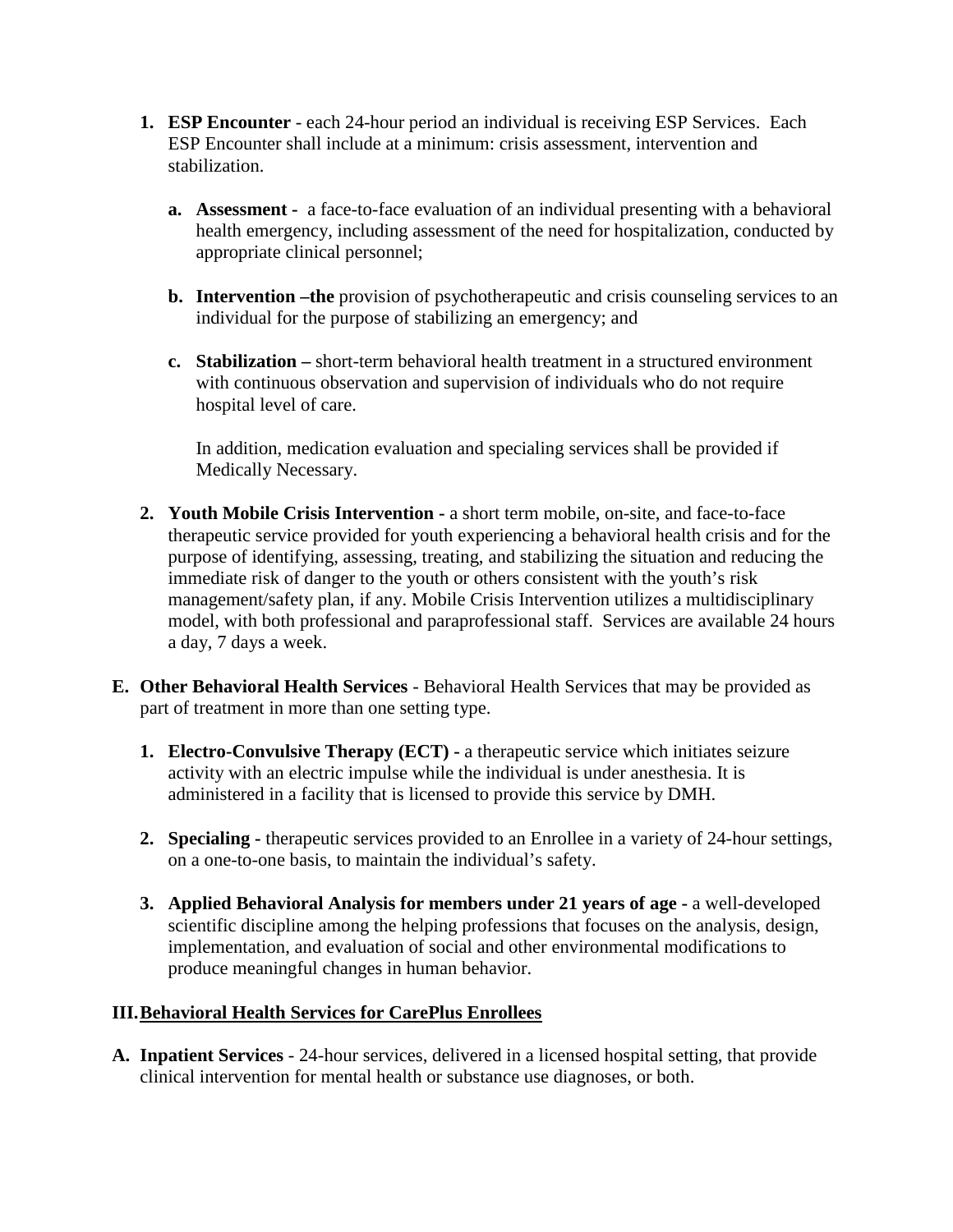- **1. ESP Encounter** each 24-hour period an individual is receiving ESP Services. Each ESP Encounter shall include at a minimum: crisis assessment, intervention and stabilization.
	- **a. Assessment -** a face-to-face evaluation of an individual presenting with a behavioral health emergency, including assessment of the need for hospitalization, conducted by appropriate clinical personnel;
	- **b. Intervention –the** provision of psychotherapeutic and crisis counseling services to an individual for the purpose of stabilizing an emergency; and
	- **c. Stabilization –** short-term behavioral health treatment in a structured environment with continuous observation and supervision of individuals who do not require hospital level of care.

In addition, medication evaluation and specialing services shall be provided if Medically Necessary.

- **2. Youth Mobile Crisis Intervention -** a short term mobile, on-site, and face-to-face therapeutic service provided for youth experiencing a behavioral health crisis and for the purpose of identifying, assessing, treating, and stabilizing the situation and reducing the immediate risk of danger to the youth or others consistent with the youth's risk management/safety plan, if any. Mobile Crisis Intervention utilizes a multidisciplinary model, with both professional and paraprofessional staff. Services are available 24 hours a day, 7 days a week.
- **E. Other Behavioral Health Services** Behavioral Health Services that may be provided as part of treatment in more than one setting type.
	- **1. Electro-Convulsive Therapy (ECT) -** a therapeutic service which initiates seizure activity with an electric impulse while the individual is under anesthesia. It is administered in a facility that is licensed to provide this service by DMH.
	- **2. Specialing -** therapeutic services provided to an Enrollee in a variety of 24-hour settings, on a one-to-one basis, to maintain the individual's safety.
	- **3. Applied Behavioral Analysis for members under 21 years of age -** a well-developed scientific discipline among the helping professions that focuses on the analysis, design, implementation, and evaluation of social and other environmental modifications to produce meaningful changes in human behavior.

### **III.Behavioral Health Services for CarePlus Enrollees**

**A. Inpatient Services** - 24-hour services, delivered in a licensed hospital setting, that provide clinical intervention for mental health or substance use diagnoses, or both.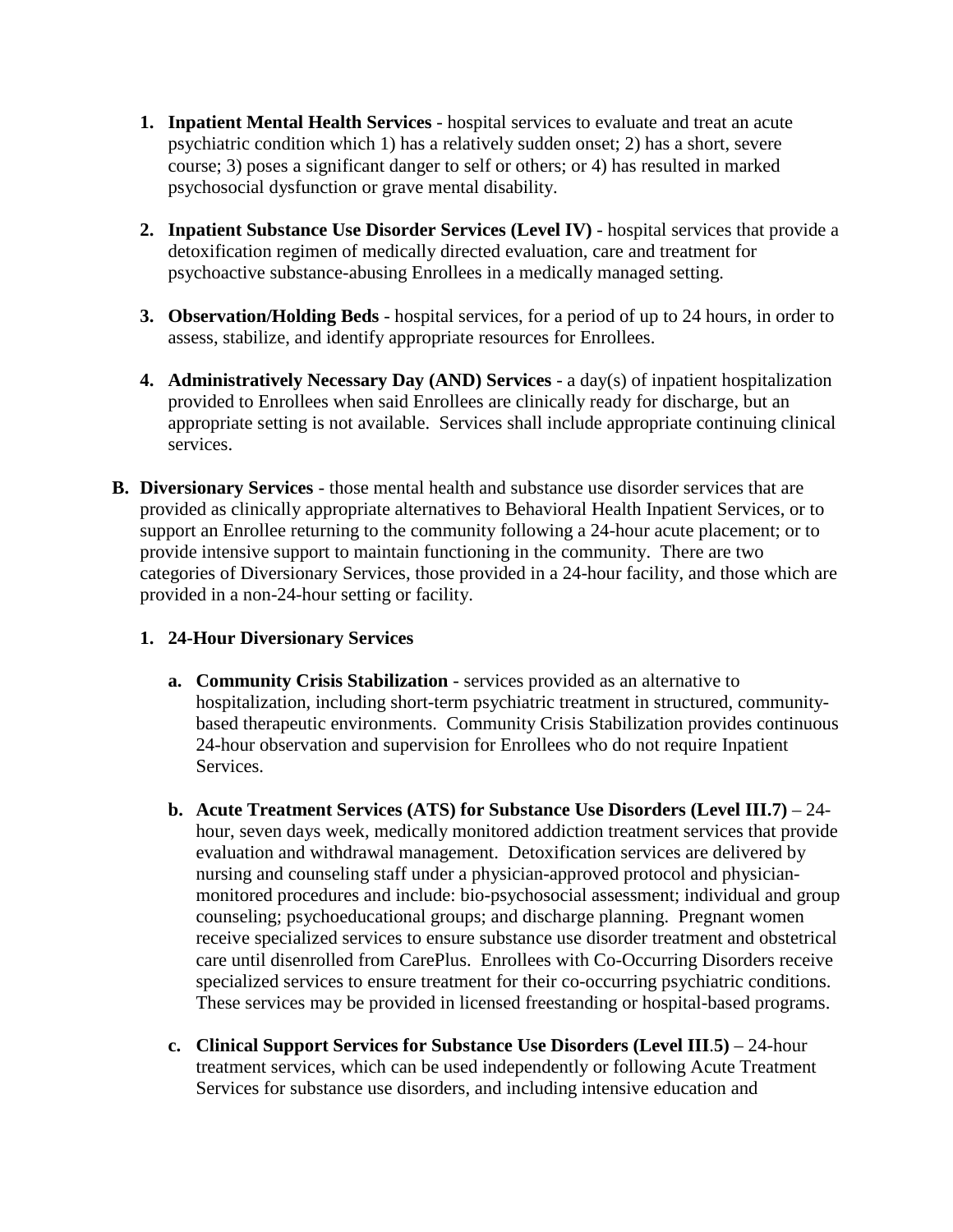- **1. Inpatient Mental Health Services** hospital services to evaluate and treat an acute psychiatric condition which 1) has a relatively sudden onset; 2) has a short, severe course; 3) poses a significant danger to self or others; or 4) has resulted in marked psychosocial dysfunction or grave mental disability.
- **2. Inpatient Substance Use Disorder Services (Level IV)** hospital services that provide a detoxification regimen of medically directed evaluation, care and treatment for psychoactive substance-abusing Enrollees in a medically managed setting.
- **3. Observation/Holding Beds** hospital services, for a period of up to 24 hours, in order to assess, stabilize, and identify appropriate resources for Enrollees.
- **4. Administratively Necessary Day (AND) Services** a day(s) of inpatient hospitalization provided to Enrollees when said Enrollees are clinically ready for discharge, but an appropriate setting is not available. Services shall include appropriate continuing clinical services.
- **B. Diversionary Services** those mental health and substance use disorder services that are provided as clinically appropriate alternatives to Behavioral Health Inpatient Services, or to support an Enrollee returning to the community following a 24-hour acute placement; or to provide intensive support to maintain functioning in the community. There are two categories of Diversionary Services, those provided in a 24-hour facility, and those which are provided in a non-24-hour setting or facility.

### **1. 24-Hour Diversionary Services**

- **a. Community Crisis Stabilization** services provided as an alternative to hospitalization, including short-term psychiatric treatment in structured, communitybased therapeutic environments. Community Crisis Stabilization provides continuous 24-hour observation and supervision for Enrollees who do not require Inpatient **Services**
- **b. Acute Treatment Services (ATS) for Substance Use Disorders (Level III.7)** 24 hour, seven days week, medically monitored addiction treatment services that provide evaluation and withdrawal management. Detoxification services are delivered by nursing and counseling staff under a physician-approved protocol and physicianmonitored procedures and include: bio-psychosocial assessment; individual and group counseling; psychoeducational groups; and discharge planning. Pregnant women receive specialized services to ensure substance use disorder treatment and obstetrical care until disenrolled from CarePlus. Enrollees with Co-Occurring Disorders receive specialized services to ensure treatment for their co-occurring psychiatric conditions. These services may be provided in licensed freestanding or hospital-based programs.
- **c. Clinical Support Services for Substance Use Disorders (Level III**.**5)** 24-hour treatment services, which can be used independently or following Acute Treatment Services for substance use disorders, and including intensive education and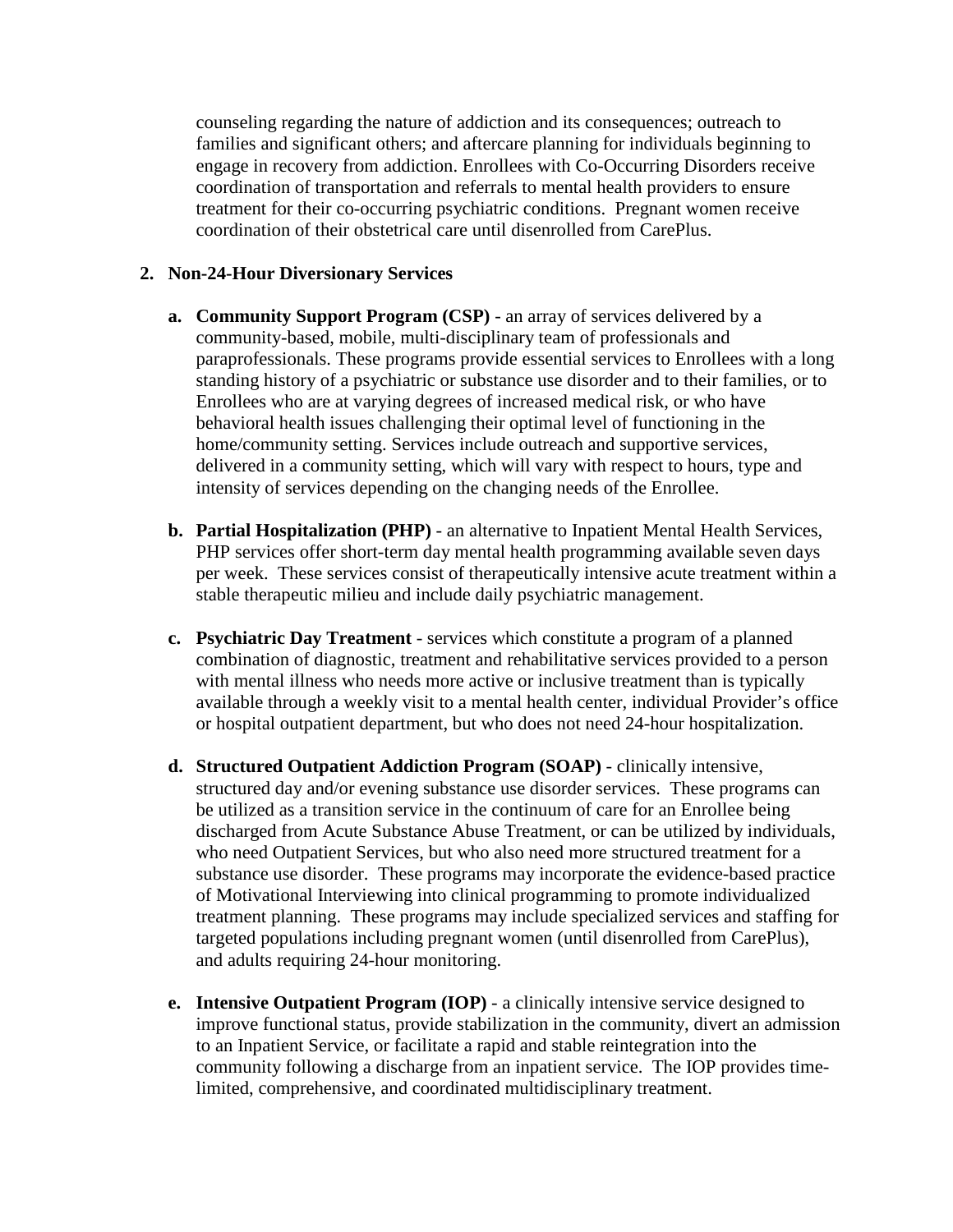counseling regarding the nature of addiction and its consequences; outreach to families and significant others; and aftercare planning for individuals beginning to engage in recovery from addiction. Enrollees with Co-Occurring Disorders receive coordination of transportation and referrals to mental health providers to ensure treatment for their co-occurring psychiatric conditions. Pregnant women receive coordination of their obstetrical care until disenrolled from CarePlus.

#### **2. Non-24-Hour Diversionary Services**

- **a. Community Support Program (CSP)** an array of services delivered by a community-based, mobile, multi-disciplinary team of professionals and paraprofessionals. These programs provide essential services to Enrollees with a long standing history of a psychiatric or substance use disorder and to their families, or to Enrollees who are at varying degrees of increased medical risk, or who have behavioral health issues challenging their optimal level of functioning in the home/community setting. Services include outreach and supportive services, delivered in a community setting, which will vary with respect to hours, type and intensity of services depending on the changing needs of the Enrollee.
- **b. Partial Hospitalization (PHP)** an alternative to Inpatient Mental Health Services, PHP services offer short-term day mental health programming available seven days per week. These services consist of therapeutically intensive acute treatment within a stable therapeutic milieu and include daily psychiatric management.
- **c. Psychiatric Day Treatment** services which constitute a program of a planned combination of diagnostic, treatment and rehabilitative services provided to a person with mental illness who needs more active or inclusive treatment than is typically available through a weekly visit to a mental health center, individual Provider's office or hospital outpatient department, but who does not need 24-hour hospitalization.
- **d. Structured Outpatient Addiction Program (SOAP)** clinically intensive, structured day and/or evening substance use disorder services. These programs can be utilized as a transition service in the continuum of care for an Enrollee being discharged from Acute Substance Abuse Treatment, or can be utilized by individuals, who need Outpatient Services, but who also need more structured treatment for a substance use disorder. These programs may incorporate the evidence-based practice of Motivational Interviewing into clinical programming to promote individualized treatment planning. These programs may include specialized services and staffing for targeted populations including pregnant women (until disenrolled from CarePlus), and adults requiring 24-hour monitoring.
- **e. Intensive Outpatient Program (IOP)** a clinically intensive service designed to improve functional status, provide stabilization in the community, divert an admission to an Inpatient Service, or facilitate a rapid and stable reintegration into the community following a discharge from an inpatient service. The IOP provides timelimited, comprehensive, and coordinated multidisciplinary treatment.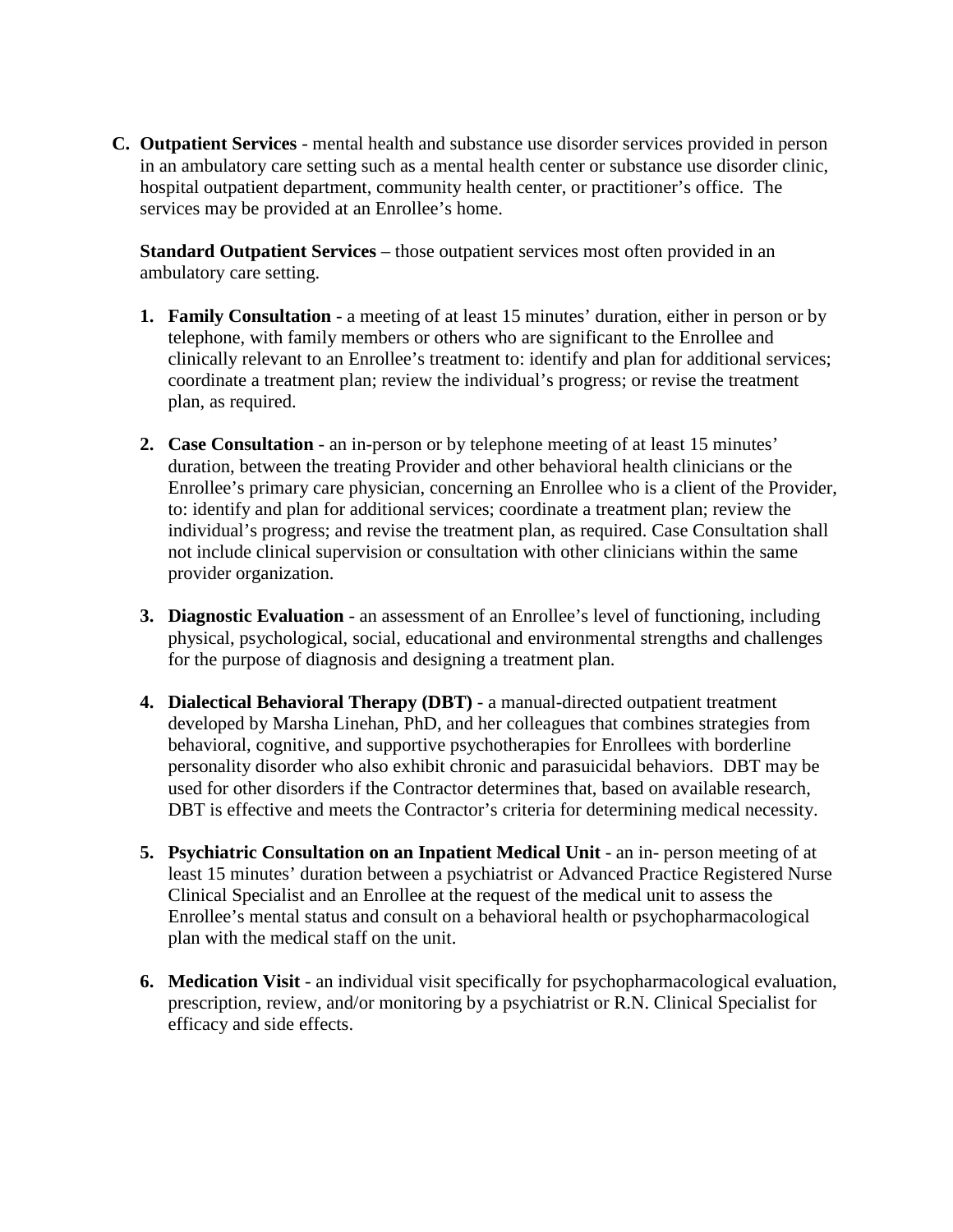**C. Outpatient Services** - mental health and substance use disorder services provided in person in an ambulatory care setting such as a mental health center or substance use disorder clinic, hospital outpatient department, community health center, or practitioner's office. The services may be provided at an Enrollee's home.

**Standard Outpatient Services** – those outpatient services most often provided in an ambulatory care setting.

- **1. Family Consultation** a meeting of at least 15 minutes' duration, either in person or by telephone, with family members or others who are significant to the Enrollee and clinically relevant to an Enrollee's treatment to: identify and plan for additional services; coordinate a treatment plan; review the individual's progress; or revise the treatment plan, as required.
- **2. Case Consultation** an in-person or by telephone meeting of at least 15 minutes' duration, between the treating Provider and other behavioral health clinicians or the Enrollee's primary care physician, concerning an Enrollee who is a client of the Provider, to: identify and plan for additional services; coordinate a treatment plan; review the individual's progress; and revise the treatment plan, as required. Case Consultation shall not include clinical supervision or consultation with other clinicians within the same provider organization.
- **3. Diagnostic Evaluation** an assessment of an Enrollee's level of functioning, including physical, psychological, social, educational and environmental strengths and challenges for the purpose of diagnosis and designing a treatment plan.
- **4. Dialectical Behavioral Therapy (DBT)** a manual-directed outpatient treatment developed by Marsha Linehan, PhD, and her colleagues that combines strategies from behavioral, cognitive, and supportive psychotherapies for Enrollees with borderline personality disorder who also exhibit chronic and parasuicidal behaviors. DBT may be used for other disorders if the Contractor determines that, based on available research, DBT is effective and meets the Contractor's criteria for determining medical necessity.
- **5. Psychiatric Consultation on an Inpatient Medical Unit** an in- person meeting of at least 15 minutes' duration between a psychiatrist or Advanced Practice Registered Nurse Clinical Specialist and an Enrollee at the request of the medical unit to assess the Enrollee's mental status and consult on a behavioral health or psychopharmacological plan with the medical staff on the unit.
- **6. Medication Visit** an individual visit specifically for psychopharmacological evaluation, prescription, review, and/or monitoring by a psychiatrist or R.N. Clinical Specialist for efficacy and side effects.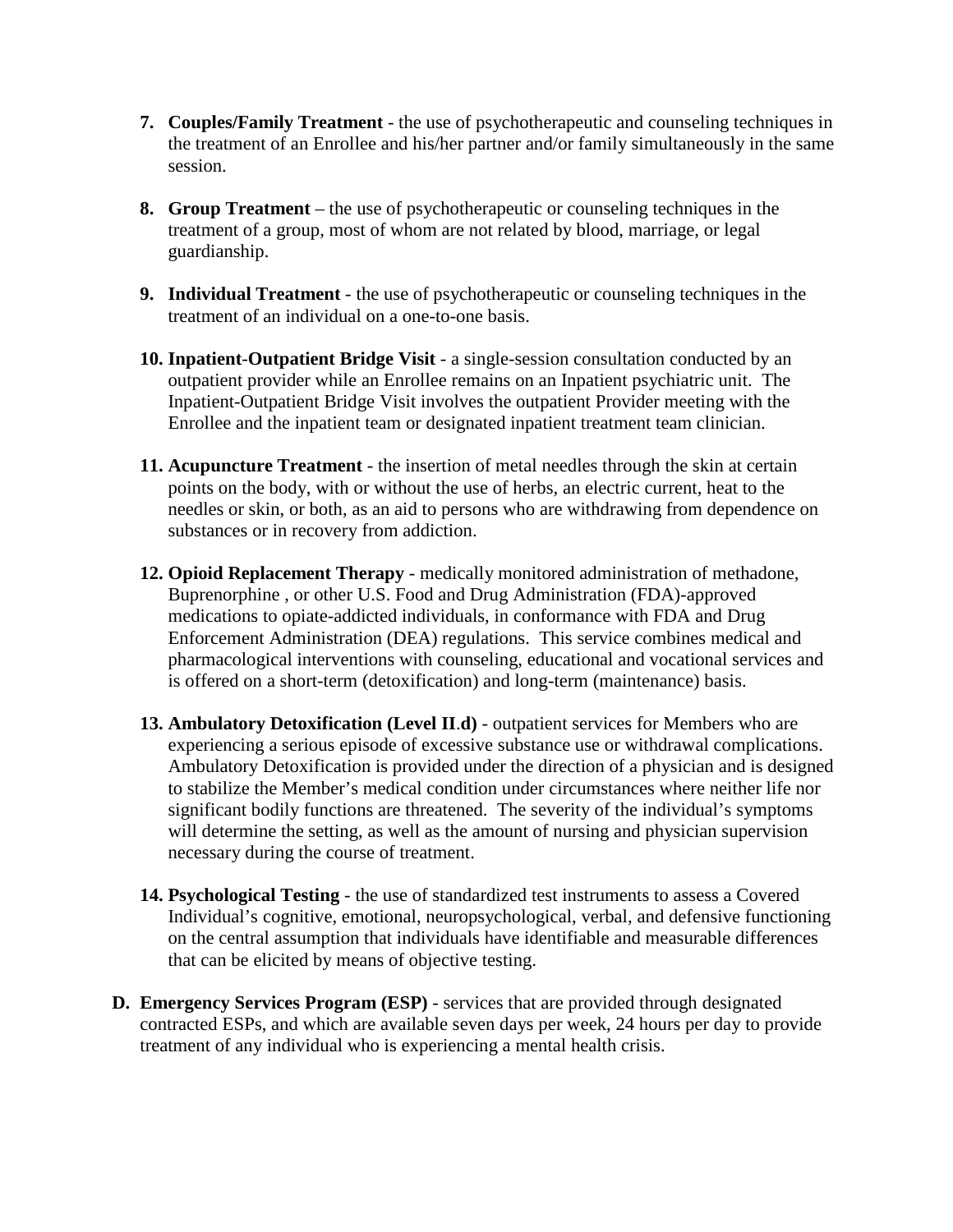- **7. Couples/Family Treatment** the use of psychotherapeutic and counseling techniques in the treatment of an Enrollee and his/her partner and/or family simultaneously in the same session.
- **8. Group Treatment** the use of psychotherapeutic or counseling techniques in the treatment of a group, most of whom are not related by blood, marriage, or legal guardianship.
- **9. Individual Treatment** the use of psychotherapeutic or counseling techniques in the treatment of an individual on a one-to-one basis.
- **10. Inpatient**-**Outpatient Bridge Visit** a single-session consultation conducted by an outpatient provider while an Enrollee remains on an Inpatient psychiatric unit. The Inpatient-Outpatient Bridge Visit involves the outpatient Provider meeting with the Enrollee and the inpatient team or designated inpatient treatment team clinician.
- **11. Acupuncture Treatment** the insertion of metal needles through the skin at certain points on the body, with or without the use of herbs, an electric current, heat to the needles or skin, or both, as an aid to persons who are withdrawing from dependence on substances or in recovery from addiction.
- **12. Opioid Replacement Therapy** medically monitored administration of methadone, Buprenorphine , or other U.S. Food and Drug Administration (FDA)-approved medications to opiate-addicted individuals, in conformance with FDA and Drug Enforcement Administration (DEA) regulations. This service combines medical and pharmacological interventions with counseling, educational and vocational services and is offered on a short-term (detoxification) and long-term (maintenance) basis.
- **13. Ambulatory Detoxification (Level II**.**d)** outpatient services for Members who are experiencing a serious episode of excessive substance use or withdrawal complications. Ambulatory Detoxification is provided under the direction of a physician and is designed to stabilize the Member's medical condition under circumstances where neither life nor significant bodily functions are threatened. The severity of the individual's symptoms will determine the setting, as well as the amount of nursing and physician supervision necessary during the course of treatment.
- **14. Psychological Testing** the use of standardized test instruments to assess a Covered Individual's cognitive, emotional, neuropsychological, verbal, and defensive functioning on the central assumption that individuals have identifiable and measurable differences that can be elicited by means of objective testing.
- **D. Emergency Services Program (ESP)** services that are provided through designated contracted ESPs, and which are available seven days per week, 24 hours per day to provide treatment of any individual who is experiencing a mental health crisis.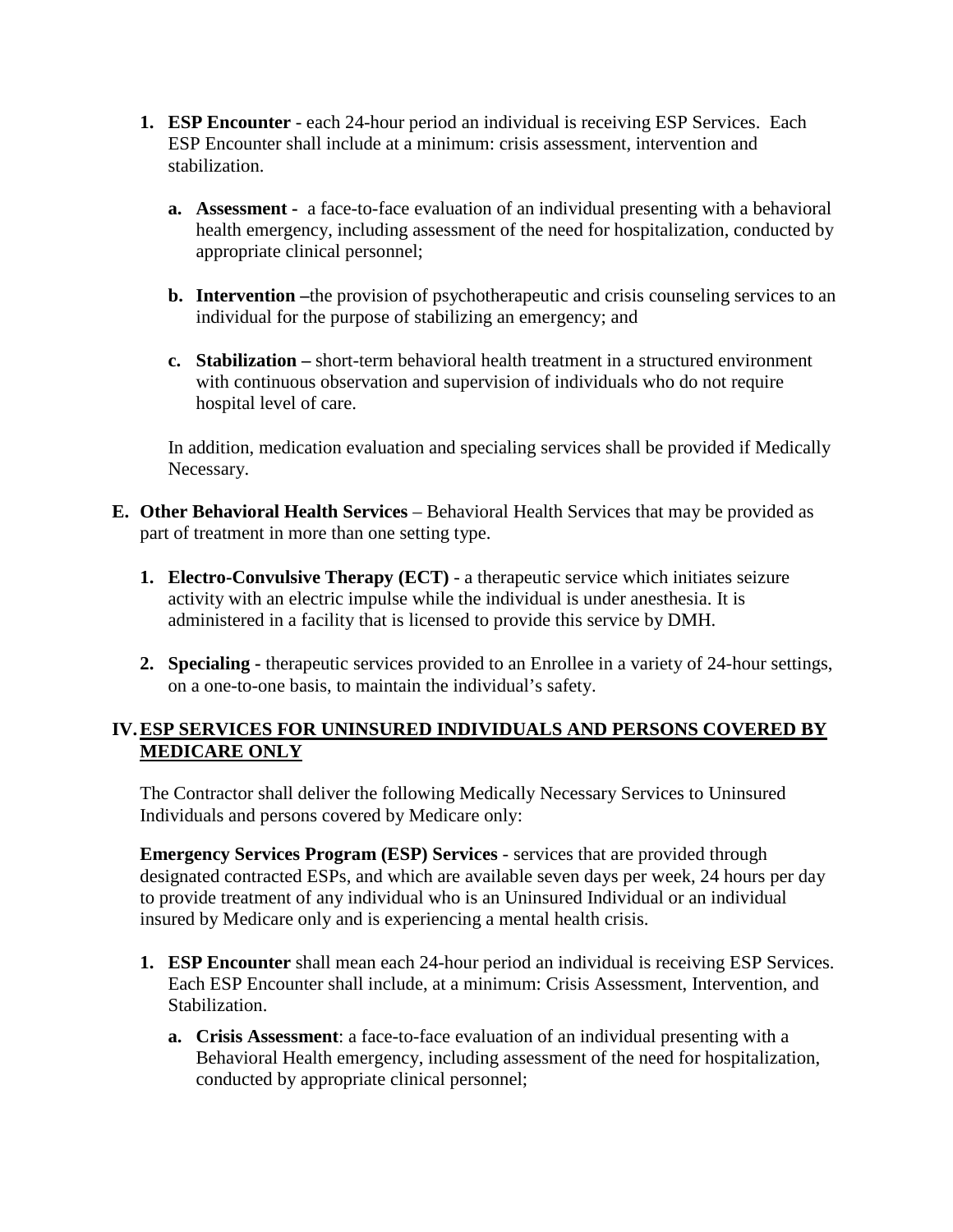- **1. ESP Encounter** each 24-hour period an individual is receiving ESP Services. Each ESP Encounter shall include at a minimum: crisis assessment, intervention and stabilization.
	- **a. Assessment -** a face-to-face evaluation of an individual presenting with a behavioral health emergency, including assessment of the need for hospitalization, conducted by appropriate clinical personnel;
	- **b. Intervention –**the provision of psychotherapeutic and crisis counseling services to an individual for the purpose of stabilizing an emergency; and
	- **c. Stabilization –** short-term behavioral health treatment in a structured environment with continuous observation and supervision of individuals who do not require hospital level of care.

In addition, medication evaluation and specialing services shall be provided if Medically Necessary.

- **E. Other Behavioral Health Services** Behavioral Health Services that may be provided as part of treatment in more than one setting type.
	- **1. Electro-Convulsive Therapy (ECT)** a therapeutic service which initiates seizure activity with an electric impulse while the individual is under anesthesia. It is administered in a facility that is licensed to provide this service by DMH.
	- **2. Specialing -** therapeutic services provided to an Enrollee in a variety of 24-hour settings, on a one-to-one basis, to maintain the individual's safety.

### **IV.ESP SERVICES FOR UNINSURED INDIVIDUALS AND PERSONS COVERED BY MEDICARE ONLY**

The Contractor shall deliver the following Medically Necessary Services to Uninsured Individuals and persons covered by Medicare only:

**Emergency Services Program (ESP) Services** - services that are provided through designated contracted ESPs, and which are available seven days per week, 24 hours per day to provide treatment of any individual who is an Uninsured Individual or an individual insured by Medicare only and is experiencing a mental health crisis.

- **1. ESP Encounter** shall mean each 24-hour period an individual is receiving ESP Services. Each ESP Encounter shall include, at a minimum: Crisis Assessment, Intervention, and Stabilization.
	- **a. Crisis Assessment**: a face-to-face evaluation of an individual presenting with a Behavioral Health emergency, including assessment of the need for hospitalization, conducted by appropriate clinical personnel;